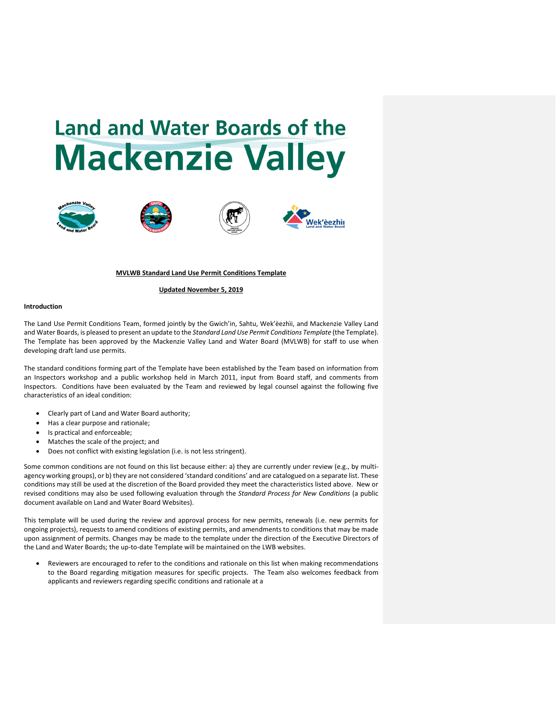# **Land and Water Boards of the Mackenzie Valley**









### **MVLWB Standard Land Use Permit Conditions Template**

# **Updated November 5, 2019**

#### **Introduction**

The Land Use Permit Conditions Team, formed jointly by the Gwich'in, Sahtu, Wek'èezhìi, and Mackenzie Valley Land and Water Boards, is pleased to present an update to the *Standard Land Use Permit Conditions Template* (the Template). The Template has been approved by the Mackenzie Valley Land and Water Board (MVLWB) for staff to use when developing draft land use permits.

The standard conditions forming part of the Template have been established by the Team based on information from an Inspectors workshop and a public workshop held in March 2011, input from Board staff, and comments from Inspectors. Conditions have been evaluated by the Team and reviewed by legal counsel against the following five characteristics of an ideal condition:

- Clearly part of Land and Water Board authority;
- Has a clear purpose and rationale;
- Is practical and enforceable;
- Matches the scale of the project; and
- Does not conflict with existing legislation (i.e. is not less stringent).

Some common conditions are not found on this list because either: a) they are currently under review (e.g., by multiagency working groups), or b) they are not considered 'standard conditions' and are catalogued on a separate list. These conditions may still be used at the discretion of the Board provided they meet the characteristics listed above. New or revised conditions may also be used following evaluation through the *Standard Process for New Conditions* (a public document available on Land and Water Board Websites).

This template will be used during the review and approval process for new permits, renewals (i.e. new permits for ongoing projects), requests to amend conditions of existing permits, and amendments to conditions that may be made upon assignment of permits. Changes may be made to the template under the direction of the Executive Directors of the Land and Water Boards; the up-to-date Template will be maintained on the LWB websites.

• Reviewers are encouraged to refer to the conditions and rationale on this list when making recommendations to the Board regarding mitigation measures for specific projects. The Team also welcomes feedback from applicants and reviewers regarding specific conditions and rationale at a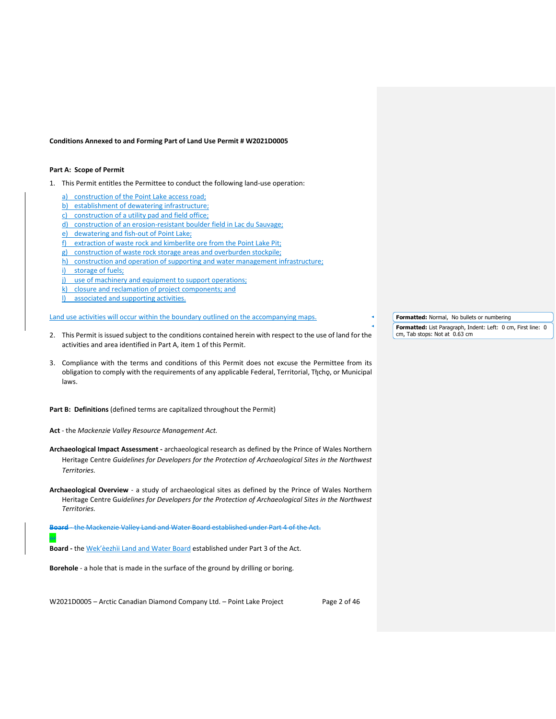#### **Conditions Annexed to and Forming Part of Land Use Permit # W2021D0005**

# **Part A: Scope of Permit**

- 1. This Permit entitles the Permittee to conduct the following land-use operation:
	- a) construction of the Point Lake access road;
	- b) establishment of dewatering infrastructure;
	- c) construction of a utility pad and field office;
	- d) construction of an erosion-resistant boulder field in Lac du Sauvage;
	- e) dewatering and fish-out of Point Lake;
	- f) extraction of waste rock and kimberlite ore from the Point Lake Pit;
	- g) construction of waste rock storage areas and overburden stockpile;
	- h) construction and operation of supporting and water management infrastructure; i) storage of fuels;
	- j) use of machinery and equipment to support operations;
	- k) closure and reclamation of project components; and
	- l) associated and supporting activities.

# Land use activities will occur within the boundary outlined on the accompanying maps.

- 2. This Permit is issued subject to the conditions contained herein with respect to the use of land for the activities and area identified in Part A, item 1 of this Permit.
- 3. Compliance with the terms and conditions of this Permit does not excuse the Permittee from its obligation to comply with the requirements of any applicable Federal, Territorial, Tłįchǫ, or Municipal laws.

**Part B: Definitions** (defined terms are capitalized throughout the Permit)

**Act** - the *Mackenzie Valley Resource Management Act.*

- **Archaeological Impact Assessment -** archaeological research as defined by the Prince of Wales Northern Heritage Centre *Guidelines for Developers for the Protection of Archaeological Sites in the Northwest Territories.*
- **Archaeological Overview**  a study of archaeological sites as defined by the Prince of Wales Northern Heritage Centre G*uidelines for Developers for the Protection of Archaeological Sites in the Northwest Territories.*

**Board** - the Mackenzie Valley Land and Water Board established under Part 4 of the Act. or

**Board -** the Wek'èezhìi Land and Water Board established under Part 3 of the Act.

**Borehole** - a hole that is made in the surface of the ground by drilling or boring.

W2021D0005 - Arctic Canadian Diamond Company Ltd. - Point Lake Project Page 2 of 46

**Formatted:** Normal, No bullets or numbering

**Formatted:** List Paragraph, Indent: Left: 0 cm, First line: 0 cm, Tab stops: Not at 0.63 cm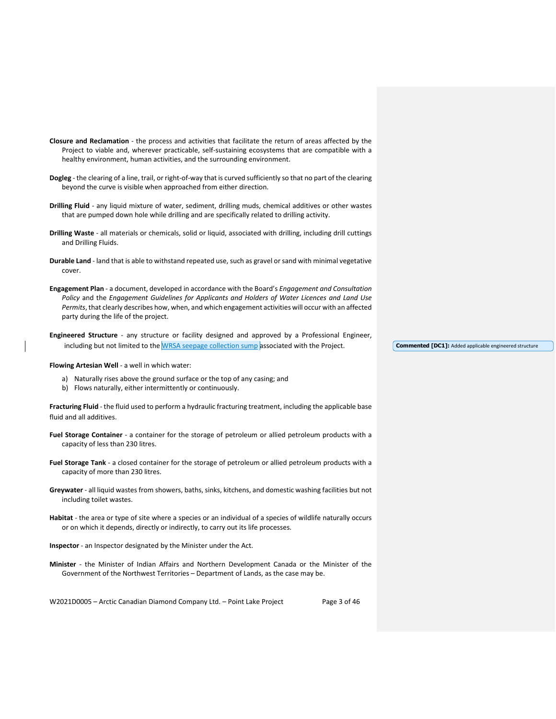| Closure and Reclamation - the process and activities that facilitate the return of areas affected by the<br>Project to viable and, wherever practicable, self-sustaining ecosystems that are compatible with a<br>healthy environment, human activities, and the surrounding environment.                                                               |
|---------------------------------------------------------------------------------------------------------------------------------------------------------------------------------------------------------------------------------------------------------------------------------------------------------------------------------------------------------|
| Dogleg - the clearing of a line, trail, or right-of-way that is curved sufficiently so that no part of the clearing<br>beyond the curve is visible when approached from either direction.                                                                                                                                                               |
| Drilling Fluid - any liquid mixture of water, sediment, drilling muds, chemical additives or other wastes<br>that are pumped down hole while drilling and are specifically related to drilling activity.                                                                                                                                                |
| Drilling Waste - all materials or chemicals, solid or liquid, associated with drilling, including drill cuttings<br>and Drilling Fluids.                                                                                                                                                                                                                |
| <b>Durable Land</b> - land that is able to withstand repeated use, such as gravel or sand with minimal vegetative<br>cover.                                                                                                                                                                                                                             |
| Engagement Plan - a document, developed in accordance with the Board's Engagement and Consultation<br>Policy and the Engagement Guidelines for Applicants and Holders of Water Licences and Land Use<br>Permits, that clearly describes how, when, and which engagement activities will occur with an affected<br>party during the life of the project. |
| <b>Engineered Structure</b> - any structure or facility designed and approved by a Professional Engineer,                                                                                                                                                                                                                                               |

**Flowing Artesian Well** - a well in which water:

- a) Naturally rises above the ground surface or the top of any casing; and
- b) Flows naturally, either intermittently or continuously.

**Fracturing Fluid** - the fluid used to perform a hydraulic fracturing treatment, including the applicable base fluid and all additives.

including but not limited to the WRSA seepage collection sump associated with the Project.

**Fuel Storage Container** - a container for the storage of petroleum or allied petroleum products with a capacity of less than 230 litres.

- **Fuel Storage Tank**  a closed container for the storage of petroleum or allied petroleum products with a capacity of more than 230 litres.
- **Greywater** all liquid wastes from showers, baths, sinks, kitchens, and domestic washing facilities but not including toilet wastes.
- **Habitat** the area or type of site where a species or an individual of a species of wildlife naturally occurs or on which it depends, directly or indirectly, to carry out its life processes.

**Inspector** - an Inspector designated by the Minister under the Act.

**Minister** - the Minister of Indian Affairs and Northern Development Canada or the Minister of the Government of the Northwest Territories – Department of Lands, as the case may be.

W2021D0005 - Arctic Canadian Diamond Company Ltd. - Point Lake Project Page 3 of 46

**Commented [DC1]:** Added applicable engineered structure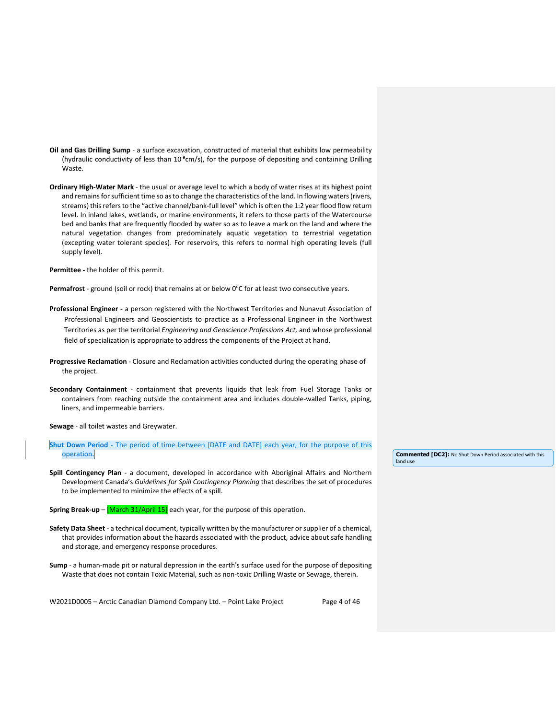- **Oil and Gas Drilling Sump**  a surface excavation, constructed of material that exhibits low permeability (hydraulic conductivity of less than 10<sup>-6</sup>cm/s), for the purpose of depositing and containing Drilling Waste.
- **Ordinary High-Water Mark**  the usual or average level to which a body of water rises at its highest point and remains for sufficient time so as to change the characteristics of the land. In flowing waters (rivers, streams) this refers to the "active channel/bank-full level" which is often the 1:2 year flood flow return level. In inland lakes, wetlands, or marine environments, it refers to those parts of the Watercourse bed and banks that are frequently flooded by water so as to leave a mark on the land and where the natural vegetation changes from predominately aquatic vegetation to terrestrial vegetation (excepting water tolerant species). For reservoirs, this refers to normal high operating levels (full supply level).

**Permittee -** the holder of this permit.

Permafrost - ground (soil or rock) that remains at or below 0°C for at least two consecutive years.

- **Professional Engineer -** a person registered with the Northwest Territories and Nunavut Association of Professional Engineers and Geoscientists to practice as a Professional Engineer in the Northwest Territories as per the territorial *Engineering and Geoscience Professions Act,* and whose professional field of specialization is appropriate to address the components of the Project at hand.
- **Progressive Reclamation**  Closure and Reclamation activities conducted during the operating phase of the project.
- **Secondary Containment** containment that prevents liquids that leak from Fuel Storage Tanks or containers from reaching outside the containment area and includes double-walled Tanks, piping, liners, and impermeable barriers.

**Sewage** - all toilet wastes and Greywater.

**Shut Down Period** - The period of time between [DATE and DATE] each year, for the purpose of this operation.

- **Spill Contingency Plan** a document, developed in accordance with Aboriginal Affairs and Northern Development Canada's *Guidelines for Spill Contingency Planning* that describes the set of procedures to be implemented to minimize the effects of a spill.
- **Spring Break-up** [March 31/April 15] each year, for the purpose of this operation.
- **Safety Data Sheet**  a technical document, typically written by the manufacturer or supplier of a chemical, that provides information about the hazards associated with the product, advice about safe handling and storage, and emergency response procedures.
- **Sump** a human-made pit or natural depression in the earth's surface used for the purpose of depositing Waste that does not contain Toxic Material, such as non-toxic Drilling Waste or Sewage, therein.

W2021D0005 – Arctic Canadian Diamond Company Ltd. – Point Lake Project Page 4 of 46

**Commented [DC2]:** No Shut Down Period associated with this land use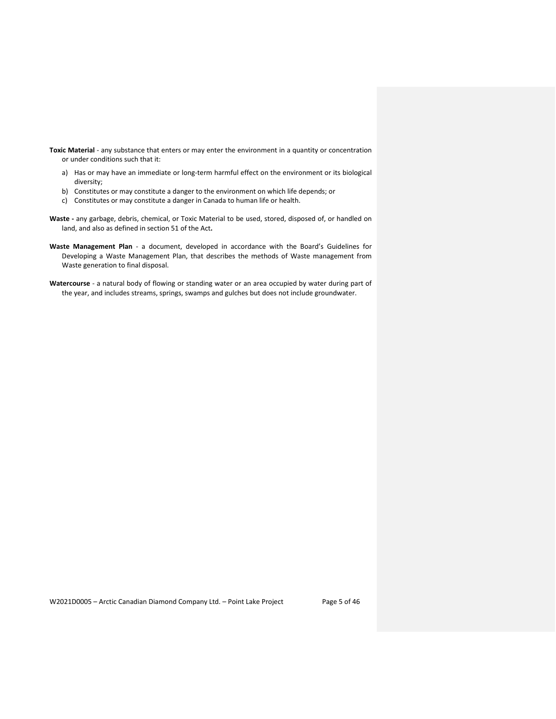- **Toxic Material** any substance that enters or may enter the environment in a quantity or concentration or under conditions such that it:
	- a) Has or may have an immediate or long-term harmful effect on the environment or its biological diversity;
	- b) Constitutes or may constitute a danger to the environment on which life depends; or
	- c) Constitutes or may constitute a danger in Canada to human life or health.
- **Waste -** any garbage, debris, chemical, or Toxic Material to be used, stored, disposed of, or handled on land, and also as defined in section 51 of the Act**.**
- **Waste Management Plan** a document, developed in accordance with the Board's Guidelines for Developing a Waste Management Plan, that describes the methods of Waste management from Waste generation to final disposal.
- **Watercourse** a natural body of flowing or standing water or an area occupied by water during part of the year, and includes streams, springs, swamps and gulches but does not include groundwater.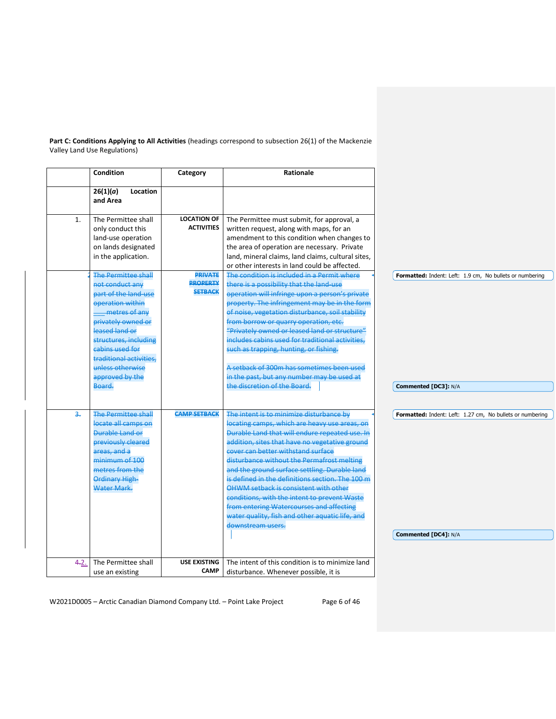**Part C: Conditions Applying to All Activities** (headings correspond to subsection 26(1) of the Mackenzie Valley Land Use Regulations)

|      | <b>Condition</b>                                                                                                                                                                                                                                                           | Category                                            | <b>Rationale</b>                                                                                                                                                                                                                                                                                                                                                                                                                                                                                                                                                               |                                                                                  |
|------|----------------------------------------------------------------------------------------------------------------------------------------------------------------------------------------------------------------------------------------------------------------------------|-----------------------------------------------------|--------------------------------------------------------------------------------------------------------------------------------------------------------------------------------------------------------------------------------------------------------------------------------------------------------------------------------------------------------------------------------------------------------------------------------------------------------------------------------------------------------------------------------------------------------------------------------|----------------------------------------------------------------------------------|
|      | 26(1)(a)<br>Location<br>and Area                                                                                                                                                                                                                                           |                                                     |                                                                                                                                                                                                                                                                                                                                                                                                                                                                                                                                                                                |                                                                                  |
| 1.   | The Permittee shall<br>only conduct this<br>land-use operation<br>on lands designated<br>in the application.                                                                                                                                                               | <b>LOCATION OF</b><br><b>ACTIVITIES</b>             | The Permittee must submit, for approval, a<br>written request, along with maps, for an<br>amendment to this condition when changes to<br>the area of operation are necessary. Private<br>land, mineral claims, land claims, cultural sites,<br>or other interests in land could be affected.                                                                                                                                                                                                                                                                                   |                                                                                  |
|      | <b>The Permittee shall</b><br>not conduct any<br>part of the land-use<br>operation within<br>metres of any<br>privately owned or<br>leased land or<br>structures, including<br>cabins used for<br>traditional activities,<br>unless otherwise<br>approved by the<br>Board. | <b>PRIVATE</b><br><b>PROPERTY</b><br><b>SETBACK</b> | The condition is included in a Permit where<br>there is a possibility that the land-use<br>operation will infringe upon a person's private<br>property. The infringement may be in the form<br>of noise, vegetation disturbance, soil stability<br>from borrow or quarry operation, etc.<br>"Privately owned or leased land or structure"<br>includes cabins used for traditional activities.<br>such as trapping, hunting, or fishing.<br>A setback of 300m has sometimes been used<br>in the past, but any number may be used at<br>the discretion of the Board.             | Formatted: Indent: Left: 1.9 cm, No bullets or numbering<br>Commented [DC3]: N/A |
| 3.   | <b>The Permittee shall</b><br>locate all camps on<br><b>Durable Land or</b><br><b>previously cleared</b><br>areas, and a<br>minimum of 100<br>metres from the<br><b>Ordinary High-</b><br>Water Mark.                                                                      | <b>CAMP SETBACK</b>                                 | The intent is to minimize disturbance by<br>locating camps, which are heavy use areas, on<br>Durable Land that will endure repeated use. In<br>addition, sites that have no vegetative ground<br>cover can better withstand surface<br>disturbance without the Permafrost melting<br>and the ground surface settling. Durable land<br>is defined in the definitions section. The 100 m<br>OHWM setback is consistent with other<br>conditions, with the intent to prevent Waste<br>from entering Watercourses and affecting<br>water quality, fish and other aquatic life, and | Formatted: Indent: Left: 1.27 cm, No bullets or numbering                        |
|      |                                                                                                                                                                                                                                                                            |                                                     | downstream users.                                                                                                                                                                                                                                                                                                                                                                                                                                                                                                                                                              | Commented [DC4]: N/A                                                             |
| 4.2. | The Permittee shall<br>use an existing                                                                                                                                                                                                                                     | <b>USE EXISTING</b><br><b>CAMP</b>                  | The intent of this condition is to minimize land<br>disturbance. Whenever possible, it is                                                                                                                                                                                                                                                                                                                                                                                                                                                                                      |                                                                                  |

W2021D0005 - Arctic Canadian Diamond Company Ltd. - Point Lake Project Page 6 of 46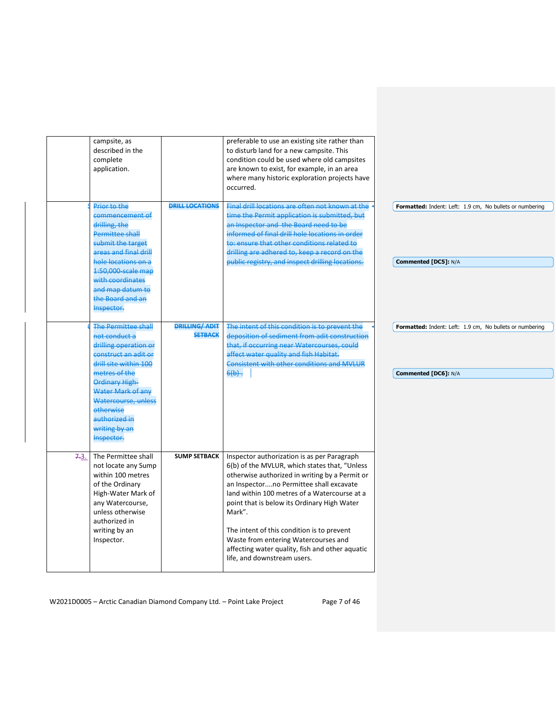|      | campsite, as<br>described in the<br>complete<br>application.                                                                                                                                                                                                      |                                        | preferable to use an existing site rather than<br>to disturb land for a new campsite. This<br>condition could be used where old campsites<br>are known to exist, for example, in an area<br>where many historic exploration projects have<br>occurred.                                                                                                                                                                                                                     |                                                                                  |
|------|-------------------------------------------------------------------------------------------------------------------------------------------------------------------------------------------------------------------------------------------------------------------|----------------------------------------|----------------------------------------------------------------------------------------------------------------------------------------------------------------------------------------------------------------------------------------------------------------------------------------------------------------------------------------------------------------------------------------------------------------------------------------------------------------------------|----------------------------------------------------------------------------------|
|      | Prior to the<br>commencement of<br>drilling, the<br><b>Permittee shall</b><br>submit the target<br>areas and final drill<br>hole locations on a<br>1:50,000-scale map<br>with coordinates<br>and map datum to<br>the Board and an<br>Inspector.                   | <b>DRILL LOCATIONS</b>                 | Final drill locations are often not known at the<br>time the Permit application is submitted, but<br>an Inspector and the Board need to be<br>informed of final drill hole locations in order<br>to: ensure that other conditions related to<br>drilling are adhered to, keep a record on the<br>public registry, and inspect drilling locations.                                                                                                                          | Formatted: Indent: Left: 1.9 cm, No bullets or numbering<br>Commented [DC5]: N/A |
|      | <b>The Permittee shall</b><br>not conduct a<br>drilling operation or<br>construct an adit or<br>drill site within 100<br>metres of the<br>Ordinary High-<br>Water Mark of any<br>Watercourse, unless<br>otherwise<br>authorized in<br>writing by an<br>Inspector. | <b>DRILLING/ADIT</b><br><b>SETBACK</b> | The intent of this condition is to prevent the<br>deposition of sediment from adit construction<br>that, if occurring near Watercourses, could<br>affect water quality and fish Habitat.<br><b>Consistent with other conditions and MVLUR</b><br>$6(b) -$                                                                                                                                                                                                                  | Formatted: Indent: Left: 1.9 cm, No bullets or numbering<br>Commented [DC6]: N/A |
| 7.3. | The Permittee shall<br>not locate any Sump<br>within 100 metres<br>of the Ordinary<br>High-Water Mark of<br>any Watercourse,<br>unless otherwise<br>authorized in<br>writing by an<br>Inspector.                                                                  | <b>SUMP SETBACK</b>                    | Inspector authorization is as per Paragraph<br>6(b) of the MVLUR, which states that, "Unless<br>otherwise authorized in writing by a Permit or<br>an Inspectorno Permittee shall excavate<br>land within 100 metres of a Watercourse at a<br>point that is below its Ordinary High Water<br>Mark".<br>The intent of this condition is to prevent<br>Waste from entering Watercourses and<br>affecting water quality, fish and other aquatic<br>life, and downstream users. |                                                                                  |

W2021D0005 - Arctic Canadian Diamond Company Ltd. - Point Lake Project Page 7 of 46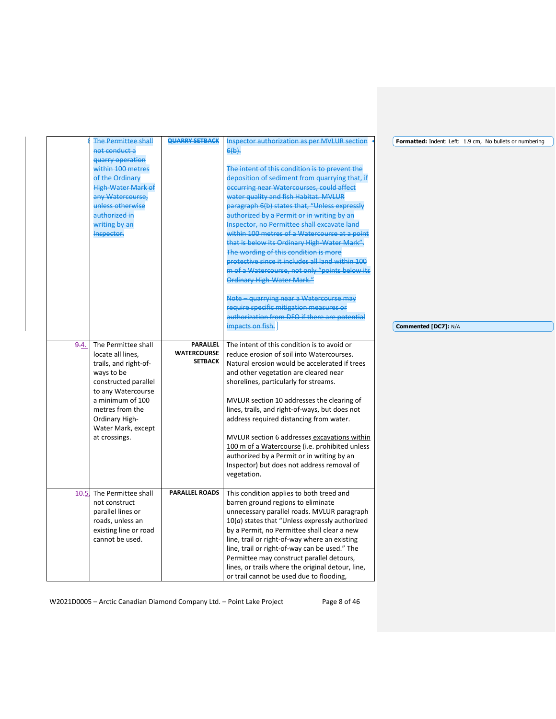|      | The Permittee shall       | <b>QUARRY SETBACK</b> | <b>Inspector authorization as per MVLUR section</b> | Formatted: Indent: Left: 1.9 cm, No bullets or numbering |
|------|---------------------------|-----------------------|-----------------------------------------------------|----------------------------------------------------------|
|      | not conduct a             |                       | $6(b)$ .                                            |                                                          |
|      | quarry operation          |                       |                                                     |                                                          |
|      | within 100 metres         |                       | The intent of this condition is to prevent the      |                                                          |
|      | of the Ordinary           |                       | deposition of sediment from quarrying that, if      |                                                          |
|      | <b>High-Water Mark of</b> |                       | occurring near Watercourses, could affect           |                                                          |
|      | any Watercourse,          |                       | water quality and fish Habitat. MVLUR               |                                                          |
|      | unless otherwise          |                       | paragraph 6(b) states that, "Unless expressly       |                                                          |
|      | authorized in             |                       | authorized by a Permit or in writing by an          |                                                          |
|      | writing by an             |                       | Inspector, no Permittee shall excavate land         |                                                          |
|      | Inspector.                |                       | within 100 metres of a Watercourse at a point       |                                                          |
|      |                           |                       | that is below its Ordinary High-Water Mark".        |                                                          |
|      |                           |                       | The wording of this condition is more               |                                                          |
|      |                           |                       | protective since it includes all land within 100    |                                                          |
|      |                           |                       | m of a Watercourse, not only "points below its      |                                                          |
|      |                           |                       | <b>Ordinary High-Water Mark."</b>                   |                                                          |
|      |                           |                       | Note - quarrying near a Watercourse may             |                                                          |
|      |                           |                       | require specific mitigation measures or             |                                                          |
|      |                           |                       | authorization from DFO if there are potential       |                                                          |
|      |                           |                       | impacts on fish.                                    | Commented [DC7]: N/A                                     |
|      |                           |                       |                                                     |                                                          |
| 9.4. | The Permittee shall       | <b>PARALLEL</b>       | The intent of this condition is to avoid or         |                                                          |
|      | locate all lines,         | <b>WATERCOURSE</b>    | reduce erosion of soil into Watercourses.           |                                                          |
|      | trails, and right-of-     | <b>SETBACK</b>        | Natural erosion would be accelerated if trees       |                                                          |
|      | ways to be                |                       | and other vegetation are cleared near               |                                                          |
|      | constructed parallel      |                       | shorelines, particularly for streams.               |                                                          |
|      | to any Watercourse        |                       |                                                     |                                                          |
|      | a minimum of 100          |                       | MVLUR section 10 addresses the clearing of          |                                                          |
|      | metres from the           |                       | lines, trails, and right-of-ways, but does not      |                                                          |
|      | Ordinary High-            |                       | address required distancing from water.             |                                                          |
|      | Water Mark, except        |                       |                                                     |                                                          |
|      | at crossings.             |                       | MVLUR section 6 addresses excavations within        |                                                          |
|      |                           |                       | 100 m of a Watercourse (i.e. prohibited unless      |                                                          |
|      |                           |                       | authorized by a Permit or in writing by an          |                                                          |
|      |                           |                       | Inspector) but does not address removal of          |                                                          |
|      |                           |                       | vegetation.                                         |                                                          |
|      |                           |                       |                                                     |                                                          |
|      | 40.5 The Permittee shall  | <b>PARALLEL ROADS</b> | This condition applies to both treed and            |                                                          |
|      | not construct             |                       | barren ground regions to eliminate                  |                                                          |
|      | parallel lines or         |                       | unnecessary parallel roads. MVLUR paragraph         |                                                          |
|      | roads, unless an          |                       | $10(a)$ states that "Unless expressly authorized    |                                                          |
|      | existing line or road     |                       | by a Permit, no Permittee shall clear a new         |                                                          |
|      | cannot be used.           |                       | line, trail or right-of-way where an existing       |                                                          |
|      |                           |                       | line, trail or right-of-way can be used." The       |                                                          |
|      |                           |                       | Permittee may construct parallel detours,           |                                                          |
|      |                           |                       | lines, or trails where the original detour, line,   |                                                          |
|      |                           |                       | or trail cannot be used due to flooding,            |                                                          |

W2021D0005 - Arctic Canadian Diamond Company Ltd. - Point Lake Project Page 8 of 46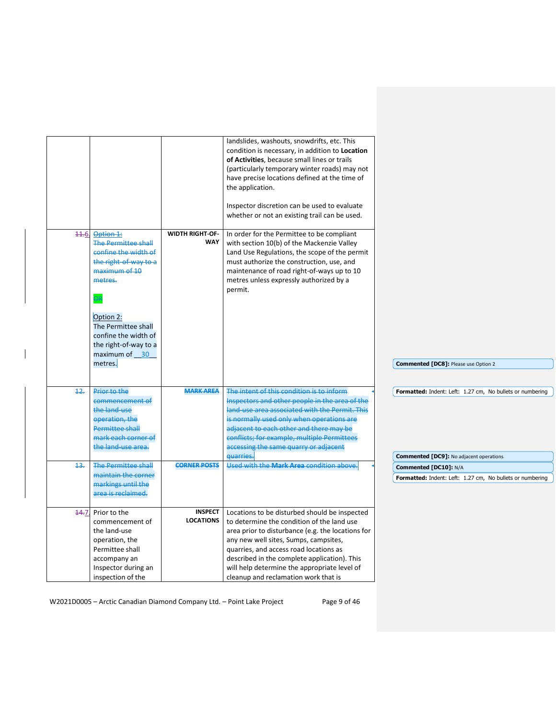| 44.6 | Option 1:<br><b>The Permittee shall</b><br>confine the width of<br>the right-of-way to a<br>maximum of 10<br>metres.                             | <b>WIDTH RIGHT-OF-</b><br>WAY      | landslides, washouts, snowdrifts, etc. This<br>condition is necessary, in addition to Location<br>of Activities, because small lines or trails<br>(particularly temporary winter roads) may not<br>have precise locations defined at the time of<br>the application.<br>Inspector discretion can be used to evaluate<br>whether or not an existing trail can be used.<br>In order for the Permittee to be compliant<br>with section 10(b) of the Mackenzie Valley<br>Land Use Regulations, the scope of the permit<br>must authorize the construction, use, and<br>maintenance of road right-of-ways up to 10<br>metres unless expressly authorized by a<br>permit. |                                                                                    |
|------|--------------------------------------------------------------------------------------------------------------------------------------------------|------------------------------------|---------------------------------------------------------------------------------------------------------------------------------------------------------------------------------------------------------------------------------------------------------------------------------------------------------------------------------------------------------------------------------------------------------------------------------------------------------------------------------------------------------------------------------------------------------------------------------------------------------------------------------------------------------------------|------------------------------------------------------------------------------------|
|      | Option 2:<br>The Permittee shall<br>confine the width of<br>the right-of-way to a<br>maximum of 30                                               |                                    |                                                                                                                                                                                                                                                                                                                                                                                                                                                                                                                                                                                                                                                                     |                                                                                    |
|      | metres.                                                                                                                                          |                                    |                                                                                                                                                                                                                                                                                                                                                                                                                                                                                                                                                                                                                                                                     | Commented [DC8]: Please use Option 2                                               |
| 12.  | Prior to the<br>commencement of<br>the land-use<br>operation, the<br><b>Permittee shall</b><br>mark each corner of<br>the land-use area.         | <b>MARK AREA</b>                   | The intent of this condition is to inform<br>Inspectors and other people in the area of the<br>land-use area associated with the Permit. This<br>is normally used only when operations are<br>adjacent to each other and there may be<br>conflicts; for example, multiple Permittees<br>accessing the same quarry or adjacent                                                                                                                                                                                                                                                                                                                                       | Formatted: Indent: Left: 1.27 cm, No bullets or numbering                          |
|      |                                                                                                                                                  |                                    | quarries.                                                                                                                                                                                                                                                                                                                                                                                                                                                                                                                                                                                                                                                           | <b>Commented [DC9]: No adjacent operations</b>                                     |
| 43.  | <b>The Permittee shall</b><br>maintain the corner<br>markings until the<br>area is reclaimed.                                                    | <b>CORNER POSTS</b>                | Used with the Mark Area condition above.                                                                                                                                                                                                                                                                                                                                                                                                                                                                                                                                                                                                                            | Commented [DC10]: N/A<br>Formatted: Indent: Left: 1.27 cm, No bullets or numbering |
| 44.7 | Prior to the<br>commencement of<br>the land-use<br>operation, the<br>Permittee shall<br>accompany an<br>Inspector during an<br>inspection of the | <b>INSPECT</b><br><b>LOCATIONS</b> | Locations to be disturbed should be inspected<br>to determine the condition of the land use<br>area prior to disturbance (e.g. the locations for<br>any new well sites, Sumps, campsites,<br>quarries, and access road locations as<br>described in the complete application). This<br>will help determine the appropriate level of<br>cleanup and reclamation work that is                                                                                                                                                                                                                                                                                         |                                                                                    |

W2021D0005 - Arctic Canadian Diamond Company Ltd. - Point Lake Project Page 9 of 46

 $\overline{\phantom{a}}$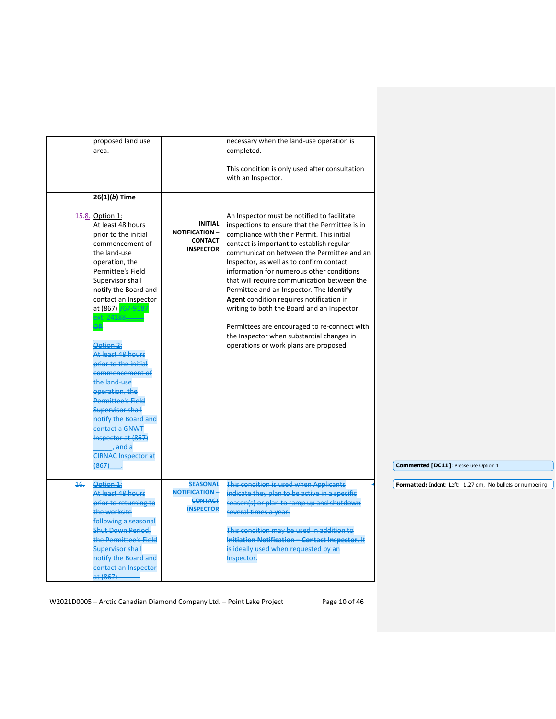|      | <b>Shut Down Period,</b><br>the Permittee's Field<br><b>Supervisor shall</b><br>notify the Board and<br>contact an Inspector<br>at (867)                                                                                                                                             |                                                                               | This condition may be used in addition to<br>Initiation Notification - Contact Inspector. It<br>is ideally used when requested by an<br>Inspector.                                                                                                                                                                                                                                                                                                                                                                                                                                                                                                      |                                                           |
|------|--------------------------------------------------------------------------------------------------------------------------------------------------------------------------------------------------------------------------------------------------------------------------------------|-------------------------------------------------------------------------------|---------------------------------------------------------------------------------------------------------------------------------------------------------------------------------------------------------------------------------------------------------------------------------------------------------------------------------------------------------------------------------------------------------------------------------------------------------------------------------------------------------------------------------------------------------------------------------------------------------------------------------------------------------|-----------------------------------------------------------|
| 16.  | Option 1:<br>At least 48 hours<br>prior to returning to<br>the worksite<br>following a seasonal                                                                                                                                                                                      | NOTIFICATION-<br><b>CONTACT</b><br><b>INSPECTOR</b>                           | indicate they plan to be active in a specific<br>season(s) or plan to ramp up and shutdown<br>several times a year.                                                                                                                                                                                                                                                                                                                                                                                                                                                                                                                                     | Formatted: Indent: Left: 1.27 cm, No bullets or numbering |
|      | xt. 24188-<br>Option 2:<br>At least 48 hours<br>prior to the initial<br>commencement of<br>the land-use<br>operation, the<br>Permittee's Field<br>Supervisor shall<br>notify the Board and<br>contact a GNWT<br>Inspector at (867)<br>, and a<br><b>CIRNAC Inspector at</b><br>(867) | <b>SEASONAL</b>                                                               | Permittees are encouraged to re-connect with<br>the Inspector when substantial changes in<br>operations or work plans are proposed.<br>This condition is used when Applicants                                                                                                                                                                                                                                                                                                                                                                                                                                                                           | Commented [DC11]: Please use Option 1                     |
| 45.8 | proposed land use<br>area.<br>$26(1)(b)$ Time<br>Option 1:<br>At least 48 hours<br>prior to the initial<br>commencement of<br>the land-use<br>operation, the<br>Permittee's Field<br>Supervisor shall<br>notify the Board and<br>contact an Inspector<br>at (867) 767-9187           | <b>INITIAL</b><br><b>NOTIFICATION -</b><br><b>CONTACT</b><br><b>INSPECTOR</b> | necessary when the land-use operation is<br>completed.<br>This condition is only used after consultation<br>with an Inspector.<br>An Inspector must be notified to facilitate<br>inspections to ensure that the Permittee is in<br>compliance with their Permit. This initial<br>contact is important to establish regular<br>communication between the Permittee and an<br>Inspector, as well as to confirm contact<br>information for numerous other conditions<br>that will require communication between the<br>Permittee and an Inspector. The Identify<br>Agent condition requires notification in<br>writing to both the Board and an Inspector. |                                                           |

W2021D0005 - Arctic Canadian Diamond Company Ltd. - Point Lake Project Page 10 of 46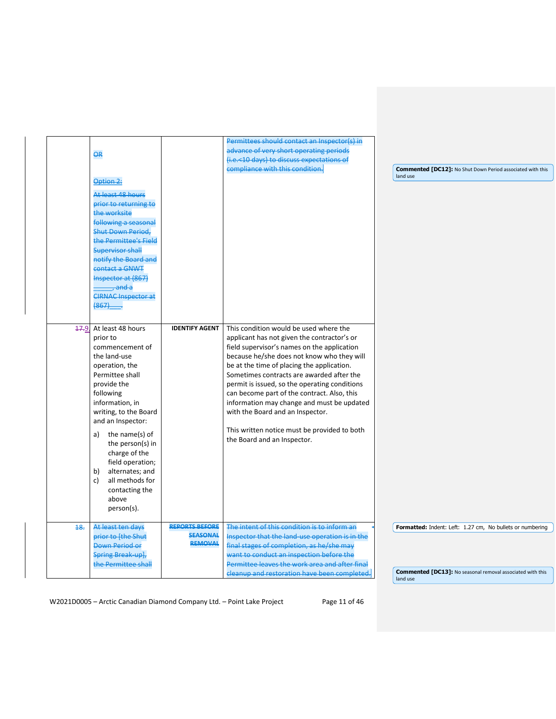| <b>OR</b>                                                                                                                                                                                                                 |                                                            | Permittees should contact an Inspector(s) in<br>advance of very short operating periods<br>(i.e.<10 days) to discuss expectations of<br>compliance with this condition.                                                                                                                                                                                                                                               | <b>Commented [DC12]: No Shut Down Period associated with this</b><br>land use |
|---------------------------------------------------------------------------------------------------------------------------------------------------------------------------------------------------------------------------|------------------------------------------------------------|-----------------------------------------------------------------------------------------------------------------------------------------------------------------------------------------------------------------------------------------------------------------------------------------------------------------------------------------------------------------------------------------------------------------------|-------------------------------------------------------------------------------|
| Option 2:<br>At least 48 hours<br>prior to returning to<br>the worksite<br>following a seasonal<br><b>Shut Down Period.</b><br>the Permittee's Field<br><b>Supervisor shall</b><br>notify the Board and<br>contact a GNWT |                                                            |                                                                                                                                                                                                                                                                                                                                                                                                                       |                                                                               |
| Inspector at (867)<br>, and a<br><b>CIRNAC Inspector at</b><br>$(867)$<br>17.9 At least 48 hours                                                                                                                          | <b>IDENTIFY AGENT</b>                                      | This condition would be used where the                                                                                                                                                                                                                                                                                                                                                                                |                                                                               |
| prior to<br>commencement of<br>the land-use<br>operation, the<br>Permittee shall<br>provide the<br>following<br>information, in<br>writing, to the Board<br>and an Inspector:                                             |                                                            | applicant has not given the contractor's or<br>field supervisor's names on the application<br>because he/she does not know who they will<br>be at the time of placing the application.<br>Sometimes contracts are awarded after the<br>permit is issued, so the operating conditions<br>can become part of the contract. Also, this<br>information may change and must be updated<br>with the Board and an Inspector. |                                                                               |
| a) the name(s) of<br>the person(s) in<br>charge of the<br>field operation;<br>alternates; and<br>b)<br>all methods for<br>c)<br>contacting the<br>above<br>person(s).                                                     |                                                            | This written notice must be provided to both<br>the Board and an Inspector.                                                                                                                                                                                                                                                                                                                                           |                                                                               |
| 48.<br>At least ten days<br>prior to [the Shut<br><b>Down Period or</b><br>Spring Break-up],<br>the Permittee shall                                                                                                       | <b>REPORTS BEFORE</b><br><b>SEASONAL</b><br><b>REMOVAL</b> | The intent of this condition is to inform an<br>Inspector that the land-use operation is in the<br>final stages of completion, as he/she may<br>want to conduct an inspection before the<br>Permittee leaves the work area and after final                                                                                                                                                                            | Formatted: Indent: Left: 1.27 cm, No bullets or numbering                     |

W2021D0005 - Arctic Canadian Diamond Company Ltd. - Point Lake Project Page 11 of 46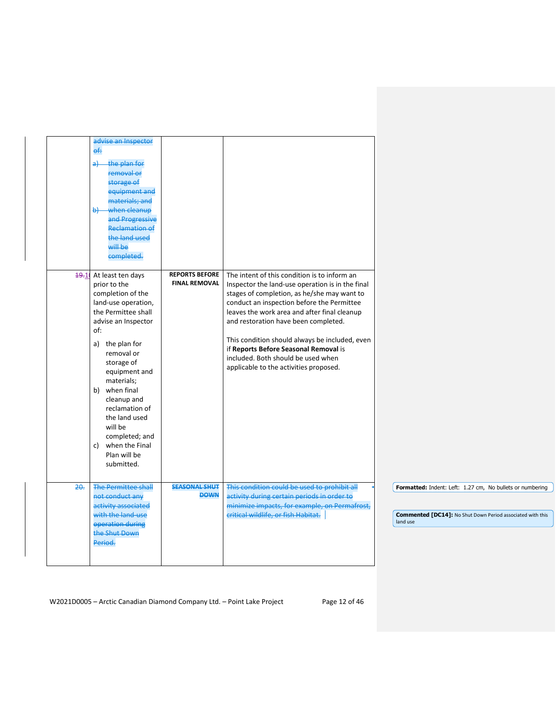|      | advise an Inspector<br>ef:<br>the plan for<br>a∔<br>removal or<br>storage of<br>equipment and<br>materials; and<br>when cleanup<br>łط<br>and Progressive<br><b>Reclamation of</b><br>the land used<br>will be<br>completed.                                                                                                                                         |                                               |                                                                                                                                                                                                                                                                                                                                                                                                                                                                  |                                                                                                                                            |
|------|---------------------------------------------------------------------------------------------------------------------------------------------------------------------------------------------------------------------------------------------------------------------------------------------------------------------------------------------------------------------|-----------------------------------------------|------------------------------------------------------------------------------------------------------------------------------------------------------------------------------------------------------------------------------------------------------------------------------------------------------------------------------------------------------------------------------------------------------------------------------------------------------------------|--------------------------------------------------------------------------------------------------------------------------------------------|
| 49.1 | At least ten days<br>prior to the<br>completion of the<br>land-use operation,<br>the Permittee shall<br>advise an Inspector<br>of:<br>a) the plan for<br>removal or<br>storage of<br>equipment and<br>materials;<br>b) when final<br>cleanup and<br>reclamation of<br>the land used<br>will be<br>completed; and<br>c) when the Final<br>Plan will be<br>submitted. | <b>REPORTS BEFORE</b><br><b>FINAL REMOVAL</b> | The intent of this condition is to inform an<br>Inspector the land-use operation is in the final<br>stages of completion, as he/she may want to<br>conduct an inspection before the Permittee<br>leaves the work area and after final cleanup<br>and restoration have been completed.<br>This condition should always be included, even<br>if Reports Before Seasonal Removal is<br>included. Both should be used when<br>applicable to the activities proposed. |                                                                                                                                            |
| 20.  | <b>The Permittee shall</b><br>not conduct any<br>activity associated<br>with the land-use<br>operation during<br>the Shut Down<br>Period.                                                                                                                                                                                                                           | <b>SEASONAL SHUT</b><br><b>DOWN</b>           | This condition could be used to prohibit all<br>activity during certain periods in order to<br>minimize impacts, for example, on Permafrost,<br>critical wildlife, or fish Habitat.                                                                                                                                                                                                                                                                              | Formatted: Indent: Left: 1.27 cm, No bullets or numbering<br><b>Commented [DC14]: No Shut Down Period associated with this</b><br>land use |

W2021D0005 - Arctic Canadian Diamond Company Ltd. - Point Lake Project Page 12 of 46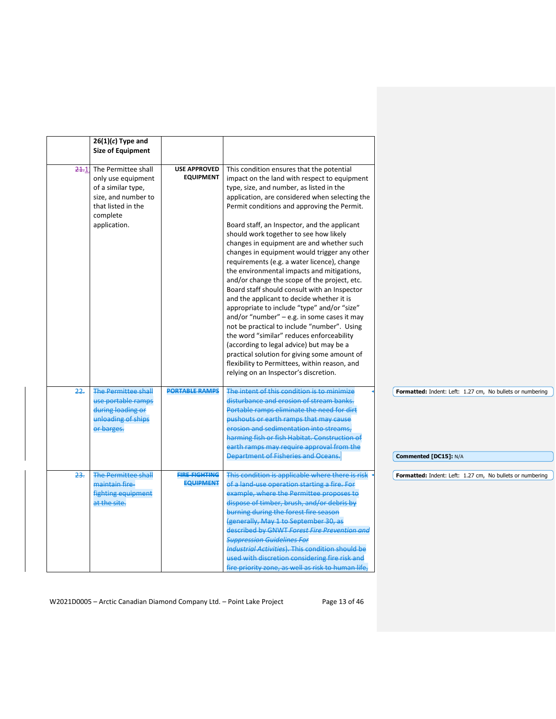|      | $26(1)(c)$ Type and<br><b>Size of Equipment</b>                                                                                          |                                          |                                                                                                                                                                                                                                                                                                                                                                                                                                                                                                                                                                                                                                                                                                                                                                                                                                                                                                                                                                                                                                                           |                                                                                    |
|------|------------------------------------------------------------------------------------------------------------------------------------------|------------------------------------------|-----------------------------------------------------------------------------------------------------------------------------------------------------------------------------------------------------------------------------------------------------------------------------------------------------------------------------------------------------------------------------------------------------------------------------------------------------------------------------------------------------------------------------------------------------------------------------------------------------------------------------------------------------------------------------------------------------------------------------------------------------------------------------------------------------------------------------------------------------------------------------------------------------------------------------------------------------------------------------------------------------------------------------------------------------------|------------------------------------------------------------------------------------|
| 24.1 | The Permittee shall<br>only use equipment<br>of a similar type,<br>size, and number to<br>that listed in the<br>complete<br>application. | <b>USE APPROVED</b><br><b>EQUIPMENT</b>  | This condition ensures that the potential<br>impact on the land with respect to equipment<br>type, size, and number, as listed in the<br>application, are considered when selecting the<br>Permit conditions and approving the Permit.<br>Board staff, an Inspector, and the applicant<br>should work together to see how likely<br>changes in equipment are and whether such<br>changes in equipment would trigger any other<br>requirements (e.g. a water licence), change<br>the environmental impacts and mitigations,<br>and/or change the scope of the project, etc.<br>Board staff should consult with an Inspector<br>and the applicant to decide whether it is<br>appropriate to include "type" and/or "size"<br>and/or "number" $-$ e.g. in some cases it may<br>not be practical to include "number". Using<br>the word "similar" reduces enforceability<br>(according to legal advice) but may be a<br>practical solution for giving some amount of<br>flexibility to Permittees, within reason, and<br>relying on an Inspector's discretion. |                                                                                    |
| 22.  | <b>The Permittee shall</b><br>use portable ramps<br>during loading or<br>unloading of ships<br>or barges.                                | <b>PORTABLE RAMPS</b>                    | The intent of this condition is to minimize<br>disturbance and erosion of stream banks.<br>Portable ramps eliminate the need for dirt<br>pushouts or earth ramps that may cause<br>erosion and sedimentation into streams,<br>harming fish or fish Habitat. Construction of<br>earth ramps may require approval from the<br>Department of Fisheries and Oceans.                                                                                                                                                                                                                                                                                                                                                                                                                                                                                                                                                                                                                                                                                           | Formatted: Indent: Left: 1.27 cm, No bullets or numbering<br>Commented [DC15]: N/A |
| 23.  | <b>The Permittee shall</b><br>maintain fire-<br><b>fighting equipment</b><br>at the site.                                                | <b>FIRE-FIGHTING</b><br><b>EQUIPMENT</b> | This condition is applicable where there is risk<br>of a land-use operation starting a fire. For<br>example, where the Permittee proposes to<br>dispose of timber, brush, and/or debris by<br>burning during the forest fire season<br>(generally, May 1 to September 30, as<br>described by GNWT Forest Fire Prevention and<br><b>Suppression Guidelines For</b><br><b>Industrial Activities). This condition should be</b><br>used with discretion considering fire risk and<br>fire priority zone, as well as risk to human life,                                                                                                                                                                                                                                                                                                                                                                                                                                                                                                                      | Formatted: Indent: Left: 1.27 cm, No bullets or numbering                          |

W2021D0005 - Arctic Canadian Diamond Company Ltd. - Point Lake Project Page 13 of 46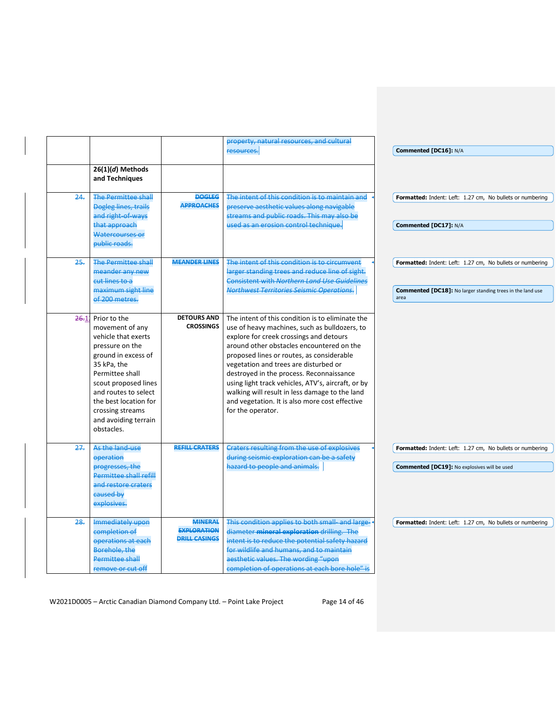| $26(1)(d)$ Methods<br>and Techniques<br><b>The Permittee shall</b><br><b>Dogleg lines, trails</b><br>and right-of-ways<br>that approach<br>Watercourses or<br>public roads.<br><b>The Permittee shall</b><br>meander any new<br>cut lines to a<br>maximum sight line<br>of 200 metres.<br>Prior to the<br>movement of any<br>vehicle that exerts<br>pressure on the | <b>DOGLEG</b><br><b>APPROACHES</b><br><b>MEANDER LINES</b><br><b>DETOURS AND</b><br><b>CROSSINGS</b> | resources.<br>The intent of this condition is to maintain and<br>preserve aesthetic values along navigable<br>streams and public roads. This may also be<br>used as an erosion control technique.<br>The intent of this condition is to circumvent<br>larger standing trees and reduce line of sight.<br><b>Consistent with Northern Land Use Guidelines</b><br>Northwest Territories Seismic Operations.<br>The intent of this condition is to eliminate the<br>use of heavy machines, such as bulldozers, to<br>explore for creek crossings and detours | Commented [DC16]: N/A<br>Formatted: Indent: Left: 1.27 cm, No bullets or numbering<br>Commented [DC17]: N/A<br>Formatted: Indent: Left: 1.27 cm, No bullets or numbering<br><b>Commented [DC18]:</b> No larger standing trees in the land use<br>area |
|---------------------------------------------------------------------------------------------------------------------------------------------------------------------------------------------------------------------------------------------------------------------------------------------------------------------------------------------------------------------|------------------------------------------------------------------------------------------------------|-----------------------------------------------------------------------------------------------------------------------------------------------------------------------------------------------------------------------------------------------------------------------------------------------------------------------------------------------------------------------------------------------------------------------------------------------------------------------------------------------------------------------------------------------------------|-------------------------------------------------------------------------------------------------------------------------------------------------------------------------------------------------------------------------------------------------------|
|                                                                                                                                                                                                                                                                                                                                                                     |                                                                                                      |                                                                                                                                                                                                                                                                                                                                                                                                                                                                                                                                                           |                                                                                                                                                                                                                                                       |
|                                                                                                                                                                                                                                                                                                                                                                     |                                                                                                      |                                                                                                                                                                                                                                                                                                                                                                                                                                                                                                                                                           |                                                                                                                                                                                                                                                       |
|                                                                                                                                                                                                                                                                                                                                                                     |                                                                                                      |                                                                                                                                                                                                                                                                                                                                                                                                                                                                                                                                                           |                                                                                                                                                                                                                                                       |
|                                                                                                                                                                                                                                                                                                                                                                     |                                                                                                      |                                                                                                                                                                                                                                                                                                                                                                                                                                                                                                                                                           |                                                                                                                                                                                                                                                       |
|                                                                                                                                                                                                                                                                                                                                                                     |                                                                                                      |                                                                                                                                                                                                                                                                                                                                                                                                                                                                                                                                                           |                                                                                                                                                                                                                                                       |
|                                                                                                                                                                                                                                                                                                                                                                     |                                                                                                      |                                                                                                                                                                                                                                                                                                                                                                                                                                                                                                                                                           |                                                                                                                                                                                                                                                       |
| ground in excess of<br>35 kPa, the<br>Permittee shall<br>scout proposed lines<br>and routes to select<br>the best location for<br>crossing streams<br>and avoiding terrain<br>obstacles.                                                                                                                                                                            |                                                                                                      | around other obstacles encountered on the<br>proposed lines or routes, as considerable<br>vegetation and trees are disturbed or<br>destroyed in the process. Reconnaissance<br>using light track vehicles, ATV's, aircraft, or by<br>walking will result in less damage to the land<br>and vegetation. It is also more cost effective<br>for the operator.                                                                                                                                                                                                |                                                                                                                                                                                                                                                       |
| As the land-use<br>operation<br>progresses, the                                                                                                                                                                                                                                                                                                                     | <b>REFILL CRATERS</b>                                                                                | <b>Craters resulting from the use of explosives</b><br>during seismic exploration can be a safety<br>hazard to people and animals.                                                                                                                                                                                                                                                                                                                                                                                                                        | Formatted: Indent: Left: 1.27 cm, No bullets or numbering<br><b>Commented [DC19]: No explosives will be used</b>                                                                                                                                      |
| Permittee shall refill<br>and restore craters<br>caused by<br>explosives.                                                                                                                                                                                                                                                                                           |                                                                                                      |                                                                                                                                                                                                                                                                                                                                                                                                                                                                                                                                                           |                                                                                                                                                                                                                                                       |
| Immediately upon<br>completion of<br>operations at each                                                                                                                                                                                                                                                                                                             | <b>MINERAL</b><br><b>EXPLORATION</b><br><b>DRILL CASINGS</b>                                         | This condition applies to both small- and large-<br>diameter mineral exploration drilling. The<br>intent is to reduce the potential safety hazard<br>for wildlife and humans, and to maintain<br>aesthetic values. The wording "upon                                                                                                                                                                                                                                                                                                                      | Formatted: Indent: Left: 1.27 cm, No bullets or numbering                                                                                                                                                                                             |
|                                                                                                                                                                                                                                                                                                                                                                     | Borehole, the<br><b>Permittee shall</b>                                                              |                                                                                                                                                                                                                                                                                                                                                                                                                                                                                                                                                           | completion of operations at each bore hole" is<br>remove or cut off                                                                                                                                                                                   |

W2021D0005 - Arctic Canadian Diamond Company Ltd. - Point Lake Project Page 14 of 46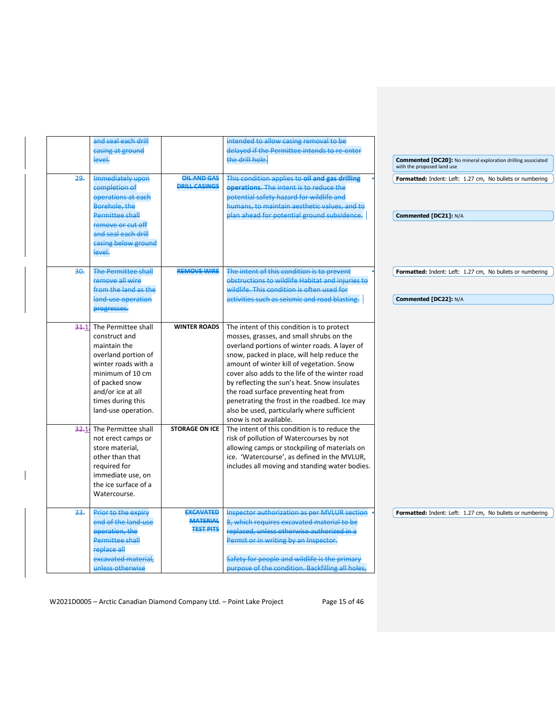|       | and seal each drill        |                                     | intended to allow casing removal to be              |                                                                                                   |
|-------|----------------------------|-------------------------------------|-----------------------------------------------------|---------------------------------------------------------------------------------------------------|
|       | casing at ground           |                                     | delayed if the Permittee intends to re-enter        |                                                                                                   |
|       | level.                     |                                     | the drill hole.                                     | <b>Commented [DC20]:</b> No mineral exploration drilling associated<br>with the proposed land use |
| 29.   | Immediately upon           | <b>OIL AND GAS</b>                  | This condition applies to oil and gas drilling      | Formatted: Indent: Left: 1.27 cm, No bullets or numbering                                         |
|       | completion of              | <b>DRILL CASINGS</b>                | operations. The intent is to reduce the             |                                                                                                   |
|       | operations at each         |                                     | potential safety hazard for wildlife and            |                                                                                                   |
|       | Borehole, the              |                                     | humans, to maintain aesthetic values, and to        |                                                                                                   |
|       | <b>Permittee shall</b>     |                                     | plan ahead for potential ground subsidence.         | Commented [DC21]: N/A                                                                             |
|       | remove or cut off          |                                     |                                                     |                                                                                                   |
|       | and seal each drill        |                                     |                                                     |                                                                                                   |
|       | casing below ground        |                                     |                                                     |                                                                                                   |
|       | level.                     |                                     |                                                     |                                                                                                   |
|       |                            |                                     |                                                     |                                                                                                   |
| 30.   | <b>The Permittee shall</b> | <b>REMOVE WIRE</b>                  | The intent of this condition is to prevent          | Formatted: Indent: Left: 1.27 cm, No bullets or numbering                                         |
|       | remove all wire            |                                     | obstructions to wildlife Habitat and injuries to    |                                                                                                   |
|       | from the land as the       |                                     | wildlife. This condition is often used for          |                                                                                                   |
|       | land-use operation         |                                     | activities such as seismic and road blasting.       | Commented [DC22]: N/A                                                                             |
|       | progresses.                |                                     |                                                     |                                                                                                   |
| 34.11 | The Permittee shall        | <b>WINTER ROADS</b>                 | The intent of this condition is to protect          |                                                                                                   |
|       | construct and              |                                     | mosses, grasses, and small shrubs on the            |                                                                                                   |
|       | maintain the               |                                     | overland portions of winter roads. A layer of       |                                                                                                   |
|       | overland portion of        |                                     | snow, packed in place, will help reduce the         |                                                                                                   |
|       | winter roads with a        |                                     | amount of winter kill of vegetation. Snow           |                                                                                                   |
|       | minimum of 10 cm           |                                     | cover also adds to the life of the winter road      |                                                                                                   |
|       | of packed snow             |                                     | by reflecting the sun's heat. Snow insulates        |                                                                                                   |
|       | and/or ice at all          |                                     | the road surface preventing heat from               |                                                                                                   |
|       | times during this          |                                     | penetrating the frost in the roadbed. Ice may       |                                                                                                   |
|       | land-use operation.        |                                     | also be used, particularly where sufficient         |                                                                                                   |
|       |                            |                                     | snow is not available.                              |                                                                                                   |
| 32.1  | The Permittee shall        | <b>STORAGE ON ICE</b>               | The intent of this condition is to reduce the       |                                                                                                   |
|       | not erect camps or         |                                     | risk of pollution of Watercourses by not            |                                                                                                   |
|       | store material,            |                                     | allowing camps or stockpiling of materials on       |                                                                                                   |
|       | other than that            |                                     | ice. 'Watercourse', as defined in the MVLUR,        |                                                                                                   |
|       | required for               |                                     | includes all moving and standing water bodies.      |                                                                                                   |
|       | immediate use, on          |                                     |                                                     |                                                                                                   |
|       | the ice surface of a       |                                     |                                                     |                                                                                                   |
|       | Watercourse.               |                                     |                                                     |                                                                                                   |
|       |                            |                                     |                                                     |                                                                                                   |
| 33.   | Prior to the expiry        | <b>EXCAVATED</b>                    | <b>Inspector authorization as per MVLUR section</b> | Formatted: Indent: Left: 1.27 cm, No bullets or numbering                                         |
|       | end of the land-use        | <b>MATERIAL</b><br><b>TEST PITS</b> | 8, which requires excavated material to be          |                                                                                                   |
|       | operation, the             |                                     | replaced, unless otherwise authorized in a          |                                                                                                   |
|       | Permittee shall            |                                     | Permit or in writing by an Inspector.               |                                                                                                   |
|       | replace all                |                                     |                                                     |                                                                                                   |
|       | excavated material,        |                                     | Safety for people and wildlife is the primary       |                                                                                                   |
|       | unless otherwise           |                                     | purpose of the condition. Backfilling all holes,    |                                                                                                   |
|       |                            |                                     |                                                     |                                                                                                   |

W2021D0005 - Arctic Canadian Diamond Company Ltd. - Point Lake Project Page 15 of 46

 $\overline{\phantom{a}}$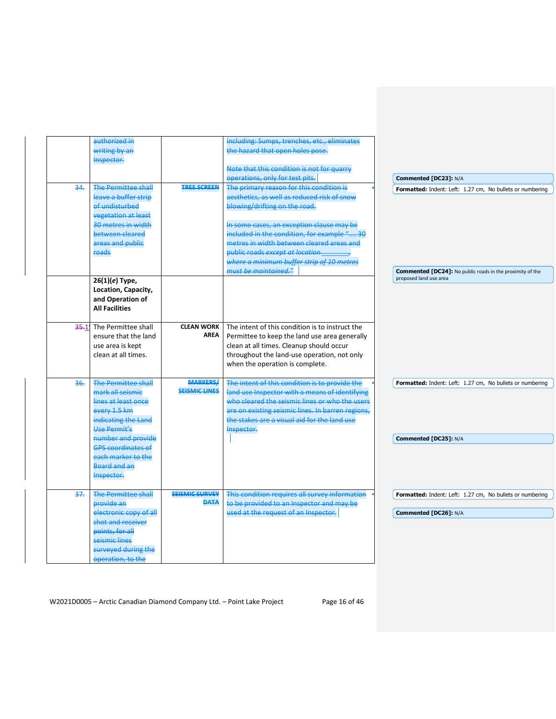|          | authorized in<br>writing by an<br>Inspector.                                                                                                                                                                                                      |                                         | including: Sumps, trenches, etc., eliminates<br>the hazard that open holes pose.<br>Note that this condition is not for quarry<br>operations, only for test pits.                                                                                                                                                                                 |  | Commented [DC23]: N/A                                                                      |
|----------|---------------------------------------------------------------------------------------------------------------------------------------------------------------------------------------------------------------------------------------------------|-----------------------------------------|---------------------------------------------------------------------------------------------------------------------------------------------------------------------------------------------------------------------------------------------------------------------------------------------------------------------------------------------------|--|--------------------------------------------------------------------------------------------|
| 34.      | <b>The Permittee shall</b><br>leave a buffer strip<br>of undisturbed<br><b>vegetation at least</b><br>30 metres in width<br>between cleared<br>areas and public<br>roads                                                                          | <b>TREE SCREEN</b>                      | The primary reason for this condition is<br>aesthetics, as well as reduced risk of snow<br>blowing/drifting on the road.<br>In some cases, an exception clause may be<br>included in the condition, for example " 30<br>metres in width between cleared areas and<br>public roads except at location<br>where a minimum buffer strip of 10 metres |  | Formatted: Indent: Left: 1.27 cm, No bullets or numbering                                  |
|          | $26(1)(e)$ Type,<br>Location, Capacity,<br>and Operation of<br><b>All Facilities</b>                                                                                                                                                              |                                         | must be maintained."                                                                                                                                                                                                                                                                                                                              |  | <b>Commented [DC24]:</b> No public roads in the proximity of the<br>proposed land use area |
| $35 - 1$ | The Permittee shall<br>ensure that the land<br>use area is kept<br>clean at all times.                                                                                                                                                            | <b>CLEAN WORK</b><br>AREA               | The intent of this condition is to instruct the<br>Permittee to keep the land use area generally<br>clean at all times. Cleanup should occur<br>throughout the land-use operation, not only<br>when the operation is complete.                                                                                                                    |  |                                                                                            |
| 36.      | <b>The Permittee shall</b><br>mark all seismie<br>lines at least once<br>every 1.5 km<br>indicating the Land<br><b>Use Permit's</b><br>number and provide<br><b>GPS coordinates of</b><br>each marker to the<br><b>Board and an</b><br>Inspector. | <b>MARKERS/</b><br><b>SEISMIC LINES</b> | The intent of this condition is to provide the<br>land use Inspector with a means of identifying<br>who cleared the seismic lines or who the users<br>are on existing seismic lines. In barren regions,<br>the stakes are a visual aid for the land use<br>Inspector.                                                                             |  | Formatted: Indent: Left: 1.27 cm, No bullets or numbering<br>Commented [DC25]: N/A         |
| 37.      | <b>The Permittee shall</b><br>provide an<br>electronic copy of all<br>shot and receiver<br>points, for all<br>seismic lines<br>surveyed during the<br>operation, to the                                                                           | <b>SEISMIC SURVEY</b><br><b>DATA</b>    | This condition requires all survey information<br>to be provided to an Inspector and may be<br>used at the request of an Inspector.                                                                                                                                                                                                               |  | Formatted: Indent: Left: 1.27 cm, No bullets or numbering<br>Commented [DC26]: N/A         |

W2021D0005 - Arctic Canadian Diamond Company Ltd. - Point Lake Project Page 16 of 46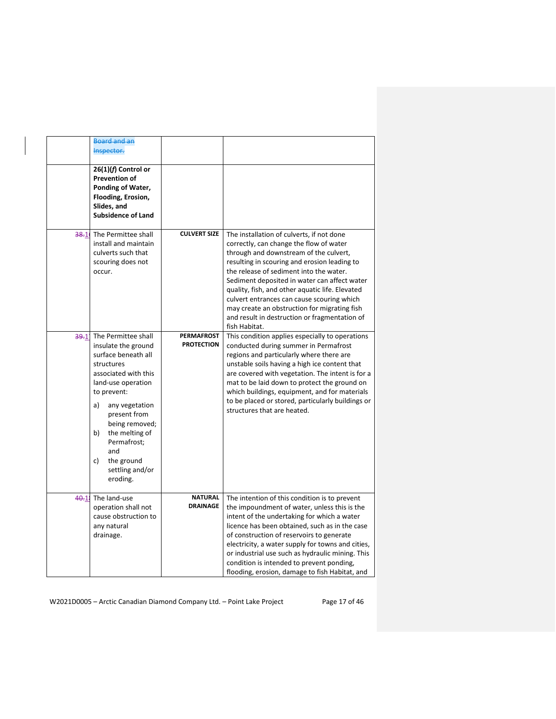|      | <b>Board and an</b><br>Inspector.<br>$26(1)(f)$ Control or<br><b>Prevention of</b><br>Ponding of Water,<br>Flooding, Erosion,<br>Slides, and<br><b>Subsidence of Land</b>                                                                                                                               |                                        |                                                                                                                                                                                                                                                                                                                                                                                                                                                                                              |
|------|---------------------------------------------------------------------------------------------------------------------------------------------------------------------------------------------------------------------------------------------------------------------------------------------------------|----------------------------------------|----------------------------------------------------------------------------------------------------------------------------------------------------------------------------------------------------------------------------------------------------------------------------------------------------------------------------------------------------------------------------------------------------------------------------------------------------------------------------------------------|
| 38.1 | The Permittee shall<br>install and maintain<br>culverts such that<br>scouring does not<br>occur.                                                                                                                                                                                                        | <b>CULVERT SIZE</b>                    | The installation of culverts, if not done<br>correctly, can change the flow of water<br>through and downstream of the culvert,<br>resulting in scouring and erosion leading to<br>the release of sediment into the water.<br>Sediment deposited in water can affect water<br>quality, fish, and other aquatic life. Elevated<br>culvert entrances can cause scouring which<br>may create an obstruction for migrating fish<br>and result in destruction or fragmentation of<br>fish Habitat. |
| 39.1 | The Permittee shall<br>insulate the ground<br>surface beneath all<br>structures<br>associated with this<br>land-use operation<br>to prevent:<br>a)<br>any vegetation<br>present from<br>being removed;<br>the melting of<br>b)<br>Permafrost;<br>and<br>c)<br>the ground<br>settling and/or<br>eroding. | <b>PERMAFROST</b><br><b>PROTECTION</b> | This condition applies especially to operations<br>conducted during summer in Permafrost<br>regions and particularly where there are<br>unstable soils having a high ice content that<br>are covered with vegetation. The intent is for a<br>mat to be laid down to protect the ground on<br>which buildings, equipment, and for materials<br>to be placed or stored, particularly buildings or<br>structures that are heated.                                                               |
| 40.1 | The land-use<br>operation shall not<br>cause obstruction to<br>any natural<br>drainage.                                                                                                                                                                                                                 | <b>NATURAL</b><br><b>DRAINAGE</b>      | The intention of this condition is to prevent<br>the impoundment of water, unless this is the<br>intent of the undertaking for which a water<br>licence has been obtained, such as in the case<br>of construction of reservoirs to generate<br>electricity, a water supply for towns and cities,<br>or industrial use such as hydraulic mining. This<br>condition is intended to prevent ponding,<br>flooding, erosion, damage to fish Habitat, and                                          |

W2021D0005 - Arctic Canadian Diamond Company Ltd. - Point Lake Project Page 17 of 46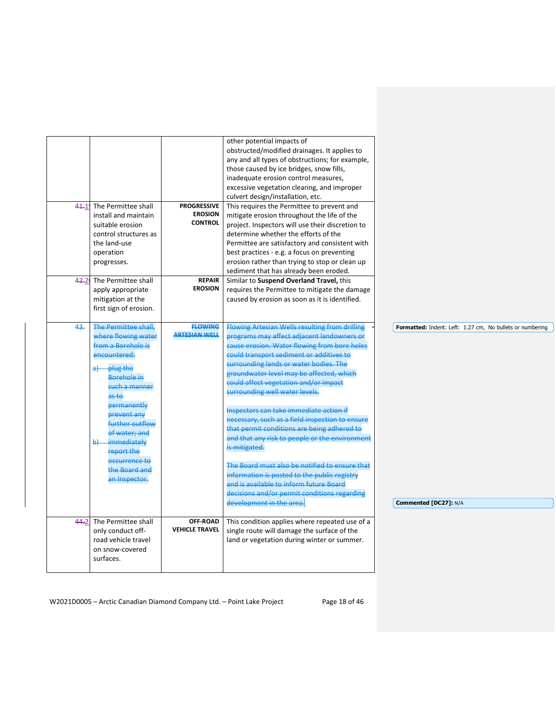|     | 41.1 The Permittee shall                                                                                                                                                                                                                                                                          | <b>PROGRESSIVE</b>                     | other potential impacts of<br>obstructed/modified drainages. It applies to<br>any and all types of obstructions; for example,<br>those caused by ice bridges, snow fills,<br>inadequate erosion control measures,<br>excessive vegetation clearing, and improper<br>culvert design/installation, etc.<br>This requires the Permittee to prevent and                                                                                                                                                                                                                                                                                                                                                                                                                                                       |                                                                                    |
|-----|---------------------------------------------------------------------------------------------------------------------------------------------------------------------------------------------------------------------------------------------------------------------------------------------------|----------------------------------------|-----------------------------------------------------------------------------------------------------------------------------------------------------------------------------------------------------------------------------------------------------------------------------------------------------------------------------------------------------------------------------------------------------------------------------------------------------------------------------------------------------------------------------------------------------------------------------------------------------------------------------------------------------------------------------------------------------------------------------------------------------------------------------------------------------------|------------------------------------------------------------------------------------|
|     | install and maintain<br>suitable erosion<br>control structures as<br>the land-use<br>operation<br>progresses.                                                                                                                                                                                     | <b>EROSION</b><br><b>CONTROL</b>       | mitigate erosion throughout the life of the<br>project. Inspectors will use their discretion to<br>determine whether the efforts of the<br>Permittee are satisfactory and consistent with<br>best practices - e.g. a focus on preventing<br>erosion rather than trying to stop or clean up<br>sediment that has already been eroded.                                                                                                                                                                                                                                                                                                                                                                                                                                                                      |                                                                                    |
|     | 42.2 The Permittee shall<br>apply appropriate<br>mitigation at the<br>first sign of erosion.                                                                                                                                                                                                      | <b>REPAIR</b><br><b>EROSION</b>        | Similar to Suspend Overland Travel, this<br>requires the Permittee to mitigate the damage<br>caused by erosion as soon as it is identified.                                                                                                                                                                                                                                                                                                                                                                                                                                                                                                                                                                                                                                                               |                                                                                    |
| 43. | The Permittee shall,<br>where flowing water<br>from a Borehole is<br>encountered:<br>plug the<br>al<br>Borehole in<br>such a manner<br>as to<br>permanently<br>prevent any<br>further outflow<br>of water: and<br>b) immediately<br>report the<br>occurrence to<br>the Board and<br>an Inspector. | <b>FLOWING</b><br><b>ARTESIAN WELL</b> | <b>Flowing Artesian Wells resulting from drilling</b><br>programs may affect adjacent landowners or<br>cause erosion. Water flowing from bore holes<br>could transport sediment or additives to<br>surrounding lands or water bodies. The<br>groundwater level may be affected, which<br>could affect vegetation and/or impact<br>surrounding well water levels.<br>Inspectors can take immediate action if<br>necessary, such as a field inspection to ensure<br>that permit conditions are being adhered to<br>and that any risk to people or the environment<br>is mitigated.<br>The Board must also be notified to ensure that<br>information is posted to the public registry<br>and is available to inform future Board<br>decisions and/or permit conditions regarding<br>development in the area. | Formatted: Indent: Left: 1.27 cm, No bullets or numbering<br>Commented [DC27]: N/A |
|     | 44.2 The Permittee shall<br>only conduct off-<br>road vehicle travel<br>on snow-covered<br>surfaces.                                                                                                                                                                                              | OFF-ROAD<br><b>VEHICLE TRAVEL</b>      | This condition applies where repeated use of a<br>single route will damage the surface of the<br>land or vegetation during winter or summer.                                                                                                                                                                                                                                                                                                                                                                                                                                                                                                                                                                                                                                                              |                                                                                    |

W2021D0005 - Arctic Canadian Diamond Company Ltd. - Point Lake Project Page 18 of 46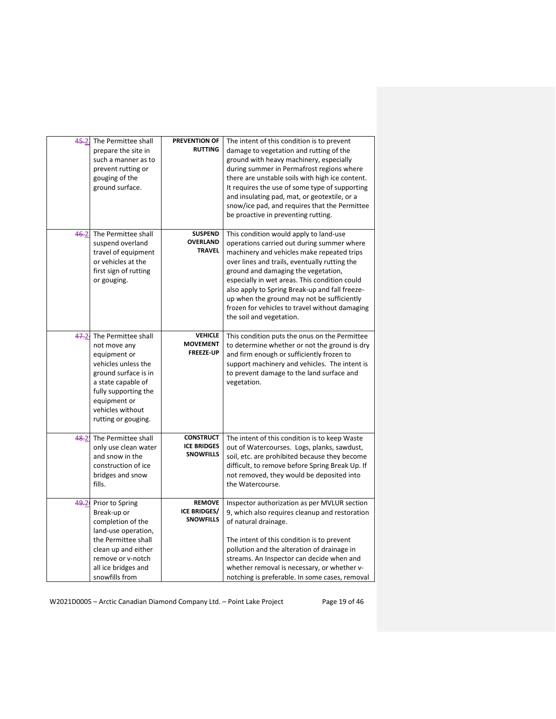| $45 - 21$ | The Permittee shall<br>prepare the site in<br>such a manner as to<br>prevent rutting or<br>gouging of the<br>ground surface.                                                                                | <b>PREVENTION OF</b><br><b>RUTTING</b>                     | The intent of this condition is to prevent<br>damage to vegetation and rutting of the<br>ground with heavy machinery, especially<br>during summer in Permafrost regions where<br>there are unstable soils with high ice content.<br>It requires the use of some type of supporting<br>and insulating pad, mat, or geotextile, or a<br>snow/ice pad, and requires that the Permittee<br>be proactive in preventing rutting.                                |
|-----------|-------------------------------------------------------------------------------------------------------------------------------------------------------------------------------------------------------------|------------------------------------------------------------|-----------------------------------------------------------------------------------------------------------------------------------------------------------------------------------------------------------------------------------------------------------------------------------------------------------------------------------------------------------------------------------------------------------------------------------------------------------|
| 46.21     | The Permittee shall<br>suspend overland<br>travel of equipment<br>or vehicles at the<br>first sign of rutting<br>or gouging.                                                                                | <b>SUSPEND</b><br><b>OVERLAND</b><br><b>TRAVEL</b>         | This condition would apply to land-use<br>operations carried out during summer where<br>machinery and vehicles make repeated trips<br>over lines and trails, eventually rutting the<br>ground and damaging the vegetation,<br>especially in wet areas. This condition could<br>also apply to Spring Break-up and fall freeze-<br>up when the ground may not be sufficiently<br>frozen for vehicles to travel without damaging<br>the soil and vegetation. |
| 47.2      | The Permittee shall<br>not move any<br>equipment or<br>vehicles unless the<br>ground surface is in<br>a state capable of<br>fully supporting the<br>equipment or<br>vehicles without<br>rutting or gouging. | <b>VEHICLE</b><br><b>MOVEMENT</b><br><b>FREEZE-UP</b>      | This condition puts the onus on the Permittee<br>to determine whether or not the ground is dry<br>and firm enough or sufficiently frozen to<br>support machinery and vehicles. The intent is<br>to prevent damage to the land surface and<br>vegetation.                                                                                                                                                                                                  |
| 48.2      | The Permittee shall<br>only use clean water<br>and snow in the<br>construction of ice<br>bridges and snow<br>fills.                                                                                         | <b>CONSTRUCT</b><br><b>ICE BRIDGES</b><br><b>SNOWFILLS</b> | The intent of this condition is to keep Waste<br>out of Watercourses. Logs, planks, sawdust,<br>soil, etc. are prohibited because they become<br>difficult, to remove before Spring Break Up. If<br>not removed, they would be deposited into<br>the Watercourse.                                                                                                                                                                                         |
| 49.2      | Prior to Spring<br>Break-up or<br>completion of the<br>land-use operation,<br>the Permittee shall<br>clean up and either<br>remove or v-notch<br>all ice bridges and<br>snowfills from                      | <b>REMOVE</b><br><b>ICE BRIDGES/</b><br><b>SNOWFILLS</b>   | Inspector authorization as per MVLUR section<br>9, which also requires cleanup and restoration<br>of natural drainage.<br>The intent of this condition is to prevent<br>pollution and the alteration of drainage in<br>streams. An Inspector can decide when and<br>whether removal is necessary, or whether v-<br>notching is preferable. In some cases, removal                                                                                         |

W2021D0005 - Arctic Canadian Diamond Company Ltd. - Point Lake Project Page 19 of 46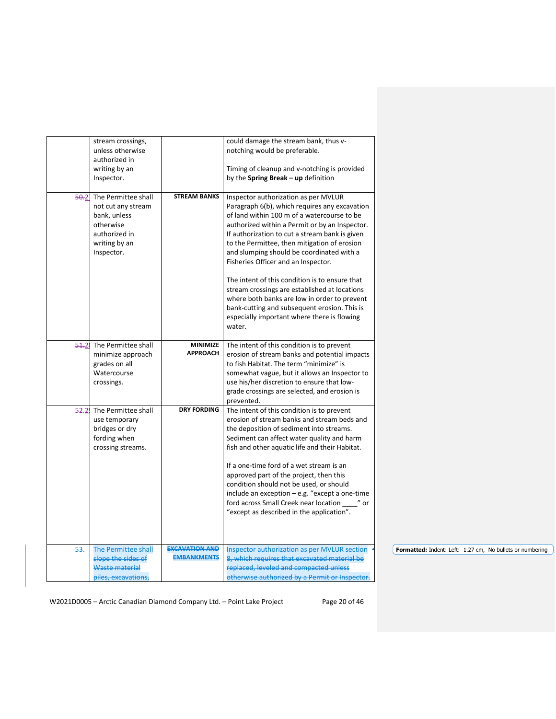|       | stream crossings,          |                       | could damage the stream bank, thus v-                                                        |
|-------|----------------------------|-----------------------|----------------------------------------------------------------------------------------------|
|       | unless otherwise           |                       | notching would be preferable.                                                                |
|       | authorized in              |                       |                                                                                              |
|       | writing by an              |                       | Timing of cleanup and v-notching is provided                                                 |
|       | Inspector.                 |                       | by the Spring Break $-$ up definition                                                        |
|       |                            |                       |                                                                                              |
| 50.2  | The Permittee shall        | <b>STREAM BANKS</b>   | Inspector authorization as per MVLUR                                                         |
|       | not cut any stream         |                       | Paragraph 6(b), which requires any excavation                                                |
|       | bank, unless               |                       | of land within 100 m of a watercourse to be                                                  |
|       | otherwise                  |                       | authorized within a Permit or by an Inspector.                                               |
|       | authorized in              |                       | If authorization to cut a stream bank is given                                               |
|       | writing by an              |                       | to the Permittee, then mitigation of erosion                                                 |
|       | Inspector.                 |                       | and slumping should be coordinated with a                                                    |
|       |                            |                       | Fisheries Officer and an Inspector.                                                          |
|       |                            |                       | The intent of this condition is to ensure that                                               |
|       |                            |                       | stream crossings are established at locations                                                |
|       |                            |                       |                                                                                              |
|       |                            |                       | where both banks are low in order to prevent<br>bank-cutting and subsequent erosion. This is |
|       |                            |                       | especially important where there is flowing                                                  |
|       |                            |                       | water.                                                                                       |
|       |                            |                       |                                                                                              |
| 54.21 | The Permittee shall        | <b>MINIMIZE</b>       | The intent of this condition is to prevent                                                   |
|       | minimize approach          | <b>APPROACH</b>       | erosion of stream banks and potential impacts                                                |
|       | grades on all              |                       | to fish Habitat. The term "minimize" is                                                      |
|       | Watercourse                |                       | somewhat vague, but it allows an Inspector to                                                |
|       | crossings.                 |                       | use his/her discretion to ensure that low-                                                   |
|       |                            |                       | grade crossings are selected, and erosion is                                                 |
|       |                            |                       | prevented.                                                                                   |
|       | 52.2! The Permittee shall  | <b>DRY FORDING</b>    | The intent of this condition is to prevent                                                   |
|       | use temporary              |                       | erosion of stream banks and stream beds and                                                  |
|       | bridges or dry             |                       | the deposition of sediment into streams.                                                     |
|       | fording when               |                       | Sediment can affect water quality and harm                                                   |
|       | crossing streams.          |                       | fish and other aquatic life and their Habitat.                                               |
|       |                            |                       |                                                                                              |
|       |                            |                       | If a one-time ford of a wet stream is an                                                     |
|       |                            |                       | approved part of the project, then this                                                      |
|       |                            |                       | condition should not be used, or should                                                      |
|       |                            |                       | include an exception - e.g. "except a one-time                                               |
|       |                            |                       | ford across Small Creek near location _____" or                                              |
|       |                            |                       | "except as described in the application".                                                    |
|       |                            |                       |                                                                                              |
|       |                            |                       |                                                                                              |
| 53.   | <b>The Permittee shall</b> | <b>EXCAVATION AND</b> | <b>Inspector authorization as per MVLUR section</b>                                          |
|       | slope the sides of         | <b>EMBANKMENTS</b>    | 8, which requires that excavated material be                                                 |
|       | Waste material             |                       | replaced, leveled and compacted unless                                                       |
|       | piles, excavations,        |                       | otherwise authorized by a Permit or Inspector.                                               |
|       |                            |                       |                                                                                              |

W2021D0005 - Arctic Canadian Diamond Company Ltd. - Point Lake Project Page 20 of 46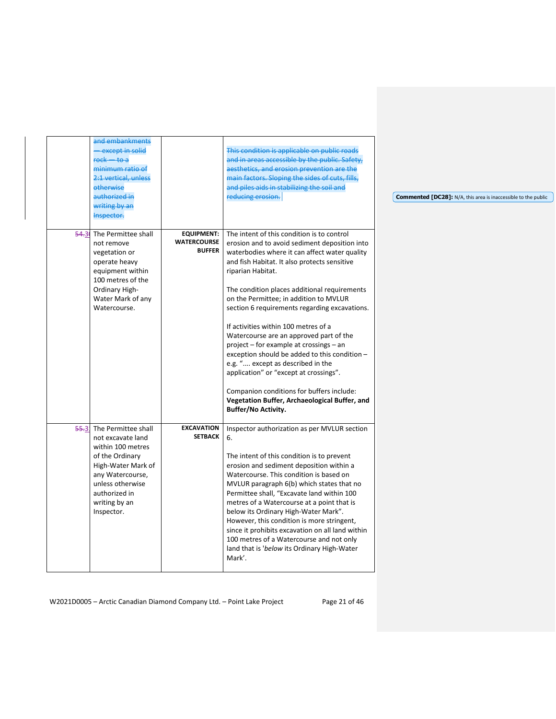|       | and embankments<br>except in solid<br>$rock - to a$<br>minimum ratio of<br>2:1 vertical, unless<br>etherwise<br>authorized in<br>writing by an<br>Inspector.                                        |                                                          | This condition is applicable on public roads<br>and in areas accessible by the public. Safety,<br>aesthetics, and erosion prevention are the<br>main factors. Sloping the sides of cuts, fills,<br>and piles aids in stabilizing the soil and<br>reducing erosion.                                                                                                                                                                                                                                                                                                                                                                                                                                                                                     | <b>Commented [DC28]:</b> N/A, this area is inaccessible to the public |
|-------|-----------------------------------------------------------------------------------------------------------------------------------------------------------------------------------------------------|----------------------------------------------------------|--------------------------------------------------------------------------------------------------------------------------------------------------------------------------------------------------------------------------------------------------------------------------------------------------------------------------------------------------------------------------------------------------------------------------------------------------------------------------------------------------------------------------------------------------------------------------------------------------------------------------------------------------------------------------------------------------------------------------------------------------------|-----------------------------------------------------------------------|
| 54.3( | The Permittee shall<br>not remove<br>vegetation or<br>operate heavy<br>equipment within<br>100 metres of the<br>Ordinary High-<br>Water Mark of any<br>Watercourse.                                 | <b>EQUIPMENT:</b><br><b>WATERCOURSE</b><br><b>BUFFER</b> | The intent of this condition is to control<br>erosion and to avoid sediment deposition into<br>waterbodies where it can affect water quality<br>and fish Habitat. It also protects sensitive<br>riparian Habitat.<br>The condition places additional requirements<br>on the Permittee; in addition to MVLUR<br>section 6 requirements regarding excavations.<br>If activities within 100 metres of a<br>Watercourse are an approved part of the<br>project – for example at crossings – an<br>exception should be added to this condition -<br>e.g. " except as described in the<br>application" or "except at crossings".<br>Companion conditions for buffers include:<br>Vegetation Buffer, Archaeological Buffer, and<br><b>Buffer/No Activity.</b> |                                                                       |
|       | 55.3 The Permittee shall<br>not excavate land<br>within 100 metres<br>of the Ordinary<br>High-Water Mark of<br>any Watercourse,<br>unless otherwise<br>authorized in<br>writing by an<br>Inspector. | <b>EXCAVATION</b><br><b>SETBACK</b>                      | Inspector authorization as per MVLUR section<br>6.<br>The intent of this condition is to prevent<br>erosion and sediment deposition within a<br>Watercourse. This condition is based on<br>MVLUR paragraph 6(b) which states that no<br>Permittee shall, "Excavate land within 100<br>metres of a Watercourse at a point that is<br>below its Ordinary High-Water Mark".<br>However, this condition is more stringent,<br>since it prohibits excavation on all land within<br>100 metres of a Watercourse and not only<br>land that is 'below its Ordinary High-Water<br>Mark'.                                                                                                                                                                        |                                                                       |

W2021D0005 - Arctic Canadian Diamond Company Ltd. - Point Lake Project Page 21 of 46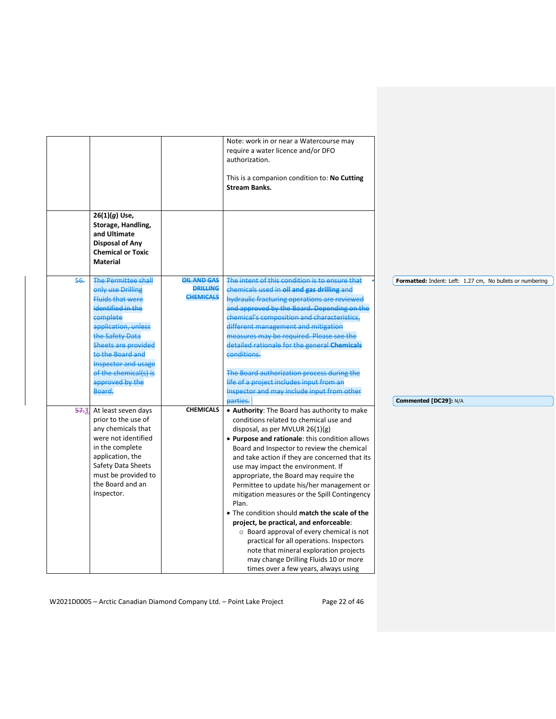|       |                                                                                                                                                                                                                                                                                             |                                                           | Note: work in or near a Watercourse may<br>require a water licence and/or DFO<br>authorization.<br>This is a companion condition to: No Cutting<br><b>Stream Banks.</b>                                                                                                                                                                                                                                                                                                                                                                                                                                                                                                                                                                                                                   |                                                                                    |
|-------|---------------------------------------------------------------------------------------------------------------------------------------------------------------------------------------------------------------------------------------------------------------------------------------------|-----------------------------------------------------------|-------------------------------------------------------------------------------------------------------------------------------------------------------------------------------------------------------------------------------------------------------------------------------------------------------------------------------------------------------------------------------------------------------------------------------------------------------------------------------------------------------------------------------------------------------------------------------------------------------------------------------------------------------------------------------------------------------------------------------------------------------------------------------------------|------------------------------------------------------------------------------------|
|       | $26(1)(g)$ Use,<br>Storage, Handling,<br>and Ultimate<br><b>Disposal of Any</b><br><b>Chemical or Toxic</b><br><b>Material</b>                                                                                                                                                              |                                                           |                                                                                                                                                                                                                                                                                                                                                                                                                                                                                                                                                                                                                                                                                                                                                                                           |                                                                                    |
| 56.   | <b>The Permittee shall</b><br>only use Drilling<br><b>Fluids that were</b><br>identified in the<br>complete<br>application, unless<br>the Safety Data<br><b>Sheets are provided</b><br>to the Board and<br><b>Inspector and usage</b><br>of the chemical(s) is<br>approved by the<br>Board. | <b>OIL AND GAS</b><br><b>DRILLING</b><br><b>CHEMICALS</b> | The intent of this condition is to ensure that<br>chemicals used in oil and gas drilling and<br>hydraulic fracturing operations are reviewed<br>and approved by the Board. Depending on the<br>chemical's composition and characteristics,<br>different management and mitigation<br>measures may be required. Please see the<br>detailed rationale for the general Chemicals<br>conditions.<br>The Board authorization process during the<br>life of a project includes input from an<br>Inspector and may include input from other<br>parties.                                                                                                                                                                                                                                          | Formatted: Indent: Left: 1.27 cm, No bullets or numbering<br>Commented [DC29]: N/A |
| 57.31 | At least seven days<br>prior to the use of<br>any chemicals that<br>were not identified<br>in the complete<br>application, the<br>Safety Data Sheets<br>must be provided to<br>the Board and an<br>Inspector.                                                                               | <b>CHEMICALS</b>                                          | • Authority: The Board has authority to make<br>conditions related to chemical use and<br>disposal, as per MVLUR $26(1)(g)$<br>. Purpose and rationale: this condition allows<br>Board and Inspector to review the chemical<br>and take action if they are concerned that its<br>use may impact the environment. If<br>appropriate, the Board may require the<br>Permittee to update his/her management or<br>mitigation measures or the Spill Contingency<br>Plan.<br>• The condition should match the scale of the<br>project, be practical, and enforceable:<br>$\circ$ Board approval of every chemical is not<br>practical for all operations. Inspectors<br>note that mineral exploration projects<br>may change Drilling Fluids 10 or more<br>times over a few years, always using |                                                                                    |

W2021D0005 - Arctic Canadian Diamond Company Ltd. - Point Lake Project Page 22 of 46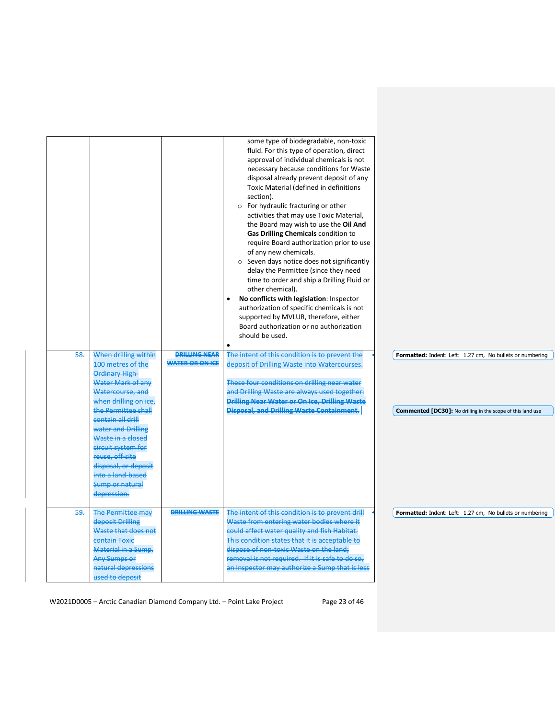|     |                                                                                                                                                                                                                                                                                                                                              |                                                | some type of biodegradable, non-toxic<br>fluid. For this type of operation, direct<br>approval of individual chemicals is not<br>necessary because conditions for Waste<br>disposal already prevent deposit of any<br>Toxic Material (defined in definitions<br>section).<br>o For hydraulic fracturing or other<br>activities that may use Toxic Material,<br>the Board may wish to use the Oil And<br>Gas Drilling Chemicals condition to<br>require Board authorization prior to use<br>of any new chemicals.<br>○ Seven days notice does not significantly<br>delay the Permittee (since they need<br>time to order and ship a Drilling Fluid or<br>other chemical).<br>No conflicts with legislation: Inspector<br>$\bullet$<br>authorization of specific chemicals is not<br>supported by MVLUR, therefore, either<br>Board authorization or no authorization<br>should be used.<br>$\bullet$ |                                                                                                                                 |
|-----|----------------------------------------------------------------------------------------------------------------------------------------------------------------------------------------------------------------------------------------------------------------------------------------------------------------------------------------------|------------------------------------------------|-----------------------------------------------------------------------------------------------------------------------------------------------------------------------------------------------------------------------------------------------------------------------------------------------------------------------------------------------------------------------------------------------------------------------------------------------------------------------------------------------------------------------------------------------------------------------------------------------------------------------------------------------------------------------------------------------------------------------------------------------------------------------------------------------------------------------------------------------------------------------------------------------------|---------------------------------------------------------------------------------------------------------------------------------|
| 58. | When drilling within<br>100 metres of the<br>Ordinary High-<br>Water Mark of any<br>Watercourse, and<br>when drilling on ice,<br>the Permittee shall<br>contain all drill<br>water and Drilling<br>Waste in a closed<br>circuit system for<br>reuse, off-site<br>disposal, or deposit<br>into a land-based<br>Sump or natural<br>depression. | <b>DRILLING NEAR</b><br><b>WATER OR ON ICE</b> | The intent of this condition is to prevent the<br>deposit of Drilling Waste into Watercourses.<br>These four conditions on drilling near water<br>and Drilling Waste are always used together:<br>Drilling Near Water or On Ice, Drilling Waste<br><b>Disposal, and Drilling Waste Containment.</b>                                                                                                                                                                                                                                                                                                                                                                                                                                                                                                                                                                                                 | Formatted: Indent: Left: 1.27 cm, No bullets or numbering<br><b>Commented [DC30]:</b> No drilling in the scope of this land use |
| 59. | <b>The Permittee may</b><br>deposit Drilling<br>Waste that does not<br>contain Toxic<br>Material in a Sump.<br><b>Any Sumps or</b><br>natural depressions<br>used to deposit                                                                                                                                                                 | <b>DRILLING WASTE</b>                          | The intent of this condition is to prevent drill<br>Waste from entering water bodies where it<br>could affect water quality and fish Habitat.<br>This condition states that it is acceptable to<br>dispose of non-toxic Waste on the land;<br>removal is not required. If it is safe to do so,<br>an Inspector may authorize a Sump that is less                                                                                                                                                                                                                                                                                                                                                                                                                                                                                                                                                    | Formatted: Indent: Left: 1.27 cm, No bullets or numbering                                                                       |

W2021D0005 - Arctic Canadian Diamond Company Ltd. - Point Lake Project Page 23 of 46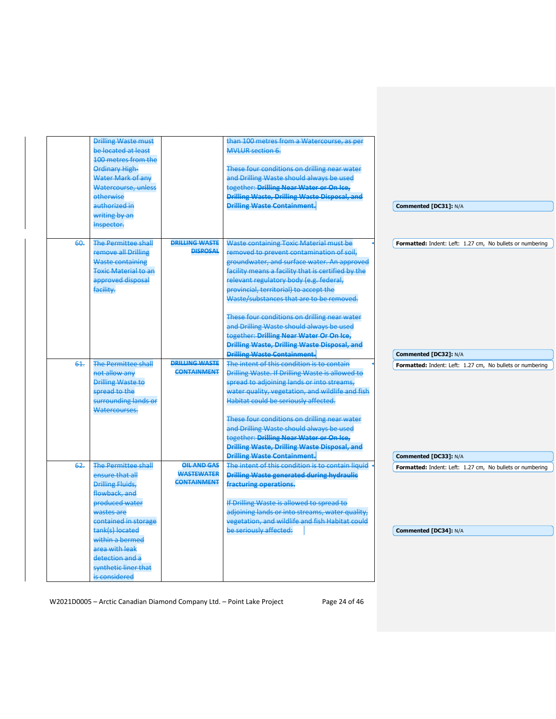|     | <b>Drilling Waste must</b><br>be located at least<br>100 metres from the                                                                          |                                                               | than 100 metres from a Watercourse, as per<br><b>MVLUR section 6.</b>                                                                                                                                                                                                                                                      |                                                                                    |
|-----|---------------------------------------------------------------------------------------------------------------------------------------------------|---------------------------------------------------------------|----------------------------------------------------------------------------------------------------------------------------------------------------------------------------------------------------------------------------------------------------------------------------------------------------------------------------|------------------------------------------------------------------------------------|
|     | Ordinary High-<br>Water Mark of any<br>Watercourse, unless<br>etherwise                                                                           |                                                               | These four conditions on drilling near water<br>and Drilling Waste should always be used<br>together: Drilling Near Water or On Ice,<br><b>Drilling Waste, Drilling Waste Disposal, and</b>                                                                                                                                |                                                                                    |
|     | authorized in<br>writing by an                                                                                                                    |                                                               | <b>Drilling Waste Containment.</b>                                                                                                                                                                                                                                                                                         | Commented [DC31]: N/A                                                              |
|     | Inspector.                                                                                                                                        |                                                               |                                                                                                                                                                                                                                                                                                                            |                                                                                    |
| 60. | <b>The Permittee shall</b><br>remove all Drilling<br><b>Waste containing</b><br><b>Toxic Material to an</b><br>approved disposal<br>facility.     | <b>DRILLING WASTE</b><br><b>DISPOSAL</b>                      | Waste containing Toxic Material must be<br>removed to prevent contamination of soil,<br>groundwater, and surface water. An approved<br>facility means a facility that is certified by the<br>relevant regulatory body (e.g. federal,<br>provincial, territorial) to accept the<br>Waste/substances that are to be removed. | Formatted: Indent: Left: 1.27 cm, No bullets or numbering                          |
|     |                                                                                                                                                   |                                                               | These four conditions on drilling near water<br>and Drilling Waste should always be used<br>together: Drilling Near Water Or On Ice,<br>Drilling Waste, Drilling Waste Disposal, and<br><b>Drilling Waste Containment.</b>                                                                                                 | Commented [DC32]: N/A                                                              |
| 61. | <b>The Permittee shall</b><br>not allow any<br><b>Drilling Waste to</b><br>spread to the<br>surrounding lands or<br>Watercourses.                 | <b>DRILLING WASTE</b><br><b>CONTAINMENT</b>                   | The intent of this condition is to contain<br>Drilling Waste. If Drilling Waste is allowed to<br>spread to adjoining lands or into streams,<br>water quality, vegetation, and wildlife and fish<br>Habitat could be seriously affected.                                                                                    | Formatted: Indent: Left: 1.27 cm, No bullets or numbering                          |
|     |                                                                                                                                                   |                                                               | These four conditions on drilling near water<br>and Drilling Waste should always be used<br>together: Drilling Near Water or On Ice,<br>Drilling Waste, Drilling Waste Disposal, and                                                                                                                                       |                                                                                    |
| 62. | <b>The Permittee shall</b><br>ensure that all<br><b>Drilling Fluids,</b><br>flowback, and<br>produced water<br>wastes are<br>contained in storage | <b>OIL AND GAS</b><br><b>WASTEWATER</b><br><b>CONTAINMENT</b> | <b>Drilling Waste Containment.</b><br>The intent of this condition is to contain liquid<br><b>Drilling Waste generated during hydraulic</b><br>fracturing operations.<br>If Drilling Waste is allowed to spread to<br>adjoining lands or into streams, water quality,<br>vegetation, and wildlife and fish Habitat could   | Commented [DC33]: N/A<br>Formatted: Indent: Left: 1.27 cm, No bullets or numbering |
|     | tank(s) located<br>within a bermed<br>area with leak<br>detection and a<br>synthetic liner that<br>is considered                                  |                                                               | be seriously affected:                                                                                                                                                                                                                                                                                                     | Commented [DC34]: N/A                                                              |

W2021D0005 - Arctic Canadian Diamond Company Ltd. - Point Lake Project Page 24 of 46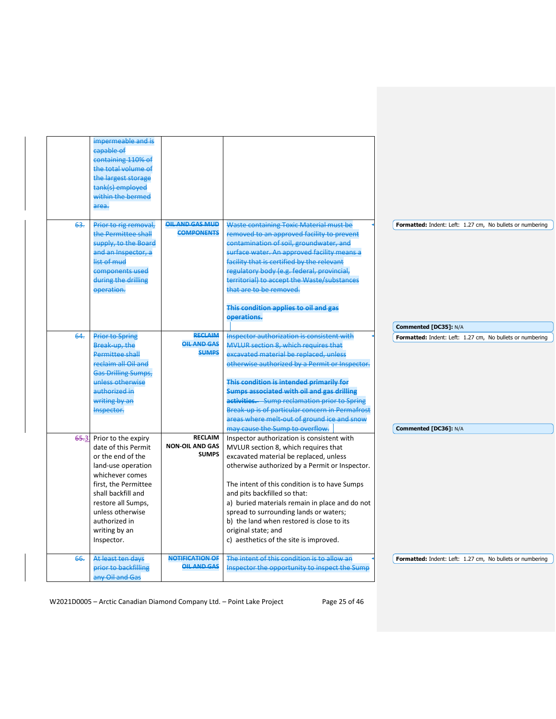|        | impermeable and is                        |                        |                                                 |                                                           |
|--------|-------------------------------------------|------------------------|-------------------------------------------------|-----------------------------------------------------------|
|        | capable of                                |                        |                                                 |                                                           |
|        | containing 110% of                        |                        |                                                 |                                                           |
|        | the total volume of                       |                        |                                                 |                                                           |
|        | the largest storage                       |                        |                                                 |                                                           |
|        | tank(s) employed                          |                        |                                                 |                                                           |
|        | within the bermed                         |                        |                                                 |                                                           |
|        | area.                                     |                        |                                                 |                                                           |
| 63.    | Prior to rig removal,                     | OIL AND GAS MUD        | <b>Waste containing Toxic Material must be</b>  |                                                           |
|        | the Permittee shall                       | <b>COMPONENTS</b>      | removed to an approved facility to prevent      | Formatted: Indent: Left: 1.27 cm, No bullets or numbering |
|        | supply, to the Board                      |                        | contamination of soil, groundwater, and         |                                                           |
|        | and an Inspector, a                       |                        | surface water. An approved facility means a     |                                                           |
|        | list of mud                               |                        | facility that is certified by the relevant      |                                                           |
|        |                                           |                        |                                                 |                                                           |
|        | components used                           |                        | regulatory body (e.g. federal, provincial,      |                                                           |
|        | during the drilling                       |                        | territorial) to accept the Waste/substances     |                                                           |
|        | operation.                                |                        | that are to be removed.                         |                                                           |
|        |                                           |                        | This condition applies to oil and gas           |                                                           |
|        |                                           |                        | operations.                                     | Commented [DC35]: N/A                                     |
| $64 -$ | <b>Prior to Spring</b>                    | <b>RECLAIM</b>         | Inspector authorization is consistent with      | Formatted: Indent: Left: 1.27 cm, No bullets or numbering |
|        | Break-up, the                             | <b>OIL AND GAS</b>     | MVLUR section 8, which requires that            |                                                           |
|        | <b>Permittee shall</b>                    | <b>SUMPS</b>           | excavated material be replaced, unless          |                                                           |
|        | reclaim all Oil and                       |                        | otherwise authorized by a Permit or Inspector.  |                                                           |
|        | <b>Gas Drilling Sumps,</b>                |                        |                                                 |                                                           |
|        | unless otherwise                          |                        | This condition is intended primarily for        |                                                           |
|        | authorized in                             |                        | Sumps associated with oil and gas drilling      |                                                           |
|        | writing by an                             |                        | activities. Sump reclamation prior to Spring    |                                                           |
|        | Inspector.                                |                        | Break-up is of particular concern in Permafrost |                                                           |
|        |                                           |                        | areas where melt-out of ground ice and snow     |                                                           |
|        |                                           |                        | may cause the Sump to overflow.                 | Commented [DC36]: N/A                                     |
|        | 65.3 Prior to the expiry                  | <b>RECLAIM</b>         | Inspector authorization is consistent with      |                                                           |
|        | date of this Permit                       | <b>NON-OIL AND GAS</b> | MVLUR section 8, which requires that            |                                                           |
|        | or the end of the                         | <b>SUMPS</b>           | excavated material be replaced, unless          |                                                           |
|        | land-use operation                        |                        | otherwise authorized by a Permit or Inspector.  |                                                           |
|        | whichever comes                           |                        |                                                 |                                                           |
|        | first, the Permittee                      |                        | The intent of this condition is to have Sumps   |                                                           |
|        | shall backfill and                        |                        | and pits backfilled so that:                    |                                                           |
|        | restore all Sumps,                        |                        | a) buried materials remain in place and do not  |                                                           |
|        | unless otherwise                          |                        | spread to surrounding lands or waters;          |                                                           |
|        | authorized in                             |                        | b) the land when restored is close to its       |                                                           |
|        | writing by an                             |                        | original state; and                             |                                                           |
|        | Inspector.                                |                        | c) aesthetics of the site is improved.          |                                                           |
|        |                                           |                        |                                                 |                                                           |
| 66.    |                                           | <b>NOTIFICATION OF</b> | The intent of this condition is to allow an     |                                                           |
|        | At least ten days<br>prior to backfilling | <b>OIL AND GAS</b>     | Inspector the opportunity to inspect the Sump   | Formatted: Indent: Left: 1.27 cm, No bullets or numbering |

W2021D0005 - Arctic Canadian Diamond Company Ltd. - Point Lake Project Page 25 of 46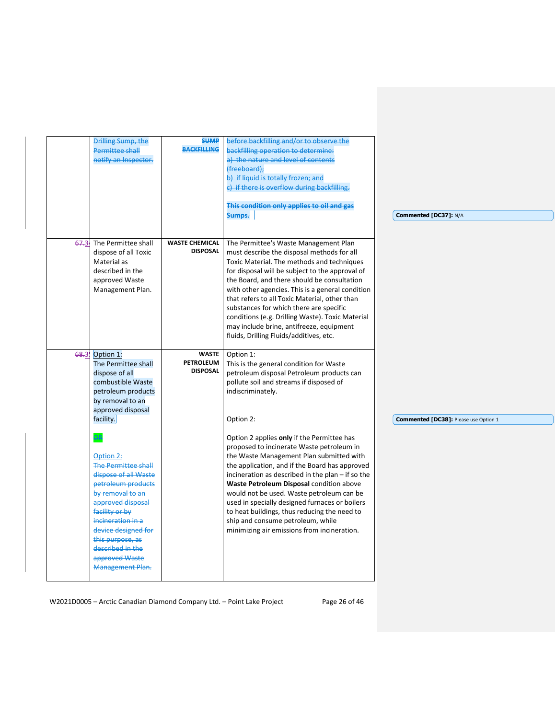|       | Drilling Sump, the         | <b>SUMP</b>           | before backfilling and/or to observe the          |                                       |
|-------|----------------------------|-----------------------|---------------------------------------------------|---------------------------------------|
|       | <b>Permittee shall</b>     | <b>BACKFILLING</b>    | backfilling operation to determine:               |                                       |
|       | notify an Inspector.       |                       | a) the nature and level of contents               |                                       |
|       |                            |                       | (freeboard);                                      |                                       |
|       |                            |                       | b) if liquid is totally frozen; and               |                                       |
|       |                            |                       | c) if there is overflow during backfilling.       |                                       |
|       |                            |                       | This condition only applies to oil and gas        |                                       |
|       |                            |                       | Sumps.                                            | Commented [DC37]: N/A                 |
|       |                            |                       |                                                   |                                       |
| 67.34 | The Permittee shall        | <b>WASTE CHEMICAL</b> | The Permittee's Waste Management Plan             |                                       |
|       | dispose of all Toxic       | <b>DISPOSAL</b>       | must describe the disposal methods for all        |                                       |
|       | Material as                |                       | Toxic Material. The methods and techniques        |                                       |
|       | described in the           |                       | for disposal will be subject to the approval of   |                                       |
|       | approved Waste             |                       | the Board, and there should be consultation       |                                       |
|       |                            |                       |                                                   |                                       |
|       | Management Plan.           |                       | with other agencies. This is a general condition  |                                       |
|       |                            |                       | that refers to all Toxic Material, other than     |                                       |
|       |                            |                       | substances for which there are specific           |                                       |
|       |                            |                       | conditions (e.g. Drilling Waste). Toxic Material  |                                       |
|       |                            |                       | may include brine, antifreeze, equipment          |                                       |
|       |                            |                       | fluids, Drilling Fluids/additives, etc.           |                                       |
|       | 68.3. Option 1:            | <b>WASTE</b>          | Option 1:                                         |                                       |
|       | The Permittee shall        | <b>PETROLEUM</b>      | This is the general condition for Waste           |                                       |
|       | dispose of all             | <b>DISPOSAL</b>       | petroleum disposal Petroleum products can         |                                       |
|       | combustible Waste          |                       | pollute soil and streams if disposed of           |                                       |
|       | petroleum products         |                       | indiscriminately.                                 |                                       |
|       | by removal to an           |                       |                                                   |                                       |
|       | approved disposal          |                       |                                                   |                                       |
|       | facility.                  |                       | Option 2:                                         | Commented [DC38]: Please use Option 1 |
|       | ЭR,                        |                       | Option 2 applies only if the Permittee has        |                                       |
|       |                            |                       |                                                   |                                       |
|       |                            |                       | proposed to incinerate Waste petroleum in         |                                       |
|       | Option 2:                  |                       | the Waste Management Plan submitted with          |                                       |
|       | <b>The Permittee shall</b> |                       | the application, and if the Board has approved    |                                       |
|       | dispose of all Waste       |                       | incineration as described in the plan - if so the |                                       |
|       | petroleum products         |                       | Waste Petroleum Disposal condition above          |                                       |
|       | by removal to an           |                       | would not be used. Waste petroleum can be         |                                       |
|       | approved disposal          |                       | used in specially designed furnaces or boilers    |                                       |
|       | facility or by             |                       | to heat buildings, thus reducing the need to      |                                       |
|       | incineration in a          |                       | ship and consume petroleum, while                 |                                       |
|       |                            |                       | minimizing air emissions from incineration.       |                                       |
|       | device designed for        |                       |                                                   |                                       |
|       | this purpose, as           |                       |                                                   |                                       |
|       | described in the           |                       |                                                   |                                       |
|       | approved Waste             |                       |                                                   |                                       |

W2021D0005 - Arctic Canadian Diamond Company Ltd. - Point Lake Project Page 26 of 46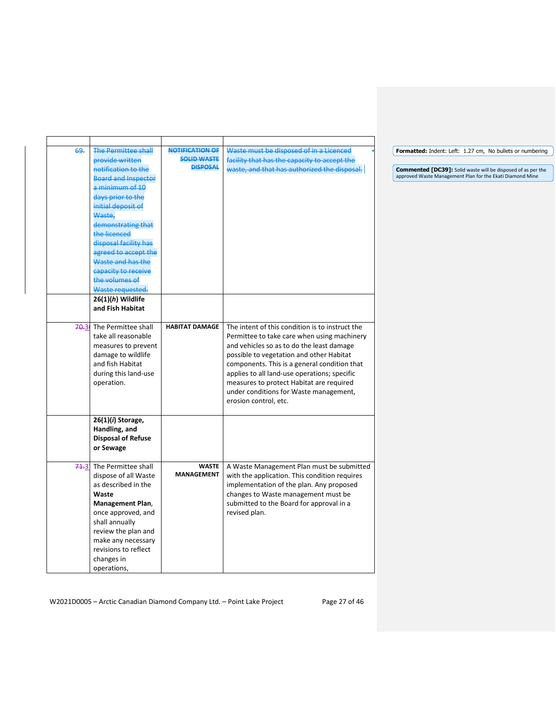| 69. | <b>The Permittee shall</b> | NOTIFICATION OF       | Waste must be disposed of in a Licenced         | Formatted: Indent: Left: 1.27 cm, No b     |
|-----|----------------------------|-----------------------|-------------------------------------------------|--------------------------------------------|
|     | provide written            | <b>SOLID WASTE</b>    | facility that has the capacity to accept the    |                                            |
|     | notification to the        | <b>DISPOSAL</b>       | waste, and that has authorized the disposal.    | Commented [DC39]: Solid waste will be d    |
|     | <b>Board and Inspector</b> |                       |                                                 | approved Waste Management Plan for the Eka |
|     | a minimum of 10            |                       |                                                 |                                            |
|     | days prior to the          |                       |                                                 |                                            |
|     | initial deposit of         |                       |                                                 |                                            |
|     | Waste,                     |                       |                                                 |                                            |
|     | demonstrating that         |                       |                                                 |                                            |
|     | the licenced               |                       |                                                 |                                            |
|     | disposal facility has      |                       |                                                 |                                            |
|     | agreed to accept the       |                       |                                                 |                                            |
|     | Waste and has the          |                       |                                                 |                                            |
|     | capacity to receive        |                       |                                                 |                                            |
|     | the volumes of             |                       |                                                 |                                            |
|     | Waste requested.           |                       |                                                 |                                            |
|     | $26(1)(h)$ Wildlife        |                       |                                                 |                                            |
|     | and Fish Habitat           |                       |                                                 |                                            |
|     | 70.31 The Permittee shall  | <b>HABITAT DAMAGE</b> | The intent of this condition is to instruct the |                                            |
|     | take all reasonable        |                       | Permittee to take care when using machinery     |                                            |
|     | measures to prevent        |                       | and vehicles so as to do the least damage       |                                            |
|     | damage to wildlife         |                       | possible to vegetation and other Habitat        |                                            |
|     | and fish Habitat           |                       | components. This is a general condition that    |                                            |
|     | during this land-use       |                       | applies to all land-use operations; specific    |                                            |
|     | operation.                 |                       | measures to protect Habitat are required        |                                            |
|     |                            |                       | under conditions for Waste management,          |                                            |
|     |                            |                       | erosion control, etc.                           |                                            |
|     |                            |                       |                                                 |                                            |
|     | 26(1)(i) Storage,          |                       |                                                 |                                            |
|     | Handling, and              |                       |                                                 |                                            |
|     | <b>Disposal of Refuse</b>  |                       |                                                 |                                            |
|     | or Sewage                  |                       |                                                 |                                            |
|     | 71.3 The Permittee shall   | <b>WASTE</b>          | A Waste Management Plan must be submitted       |                                            |
|     | dispose of all Waste       | <b>MANAGEMENT</b>     | with the application. This condition requires   |                                            |
|     | as described in the        |                       | implementation of the plan. Any proposed        |                                            |
|     | Waste                      |                       | changes to Waste management must be             |                                            |
|     | Management Plan,           |                       | submitted to the Board for approval in a        |                                            |
|     | once approved, and         |                       | revised plan.                                   |                                            |
|     | shall annually             |                       |                                                 |                                            |
|     | review the plan and        |                       |                                                 |                                            |
|     | make any necessary         |                       |                                                 |                                            |
|     | revisions to reflect       |                       |                                                 |                                            |
|     | changes in                 |                       |                                                 |                                            |
|     | operations,                |                       |                                                 |                                            |

**Foullets or numbering** 

**Commented [DC39]:** Solid waste will be disposed of as per the approved Waste Management Plan for the Ekati Diamond Mine

W2021D0005 - Arctic Canadian Diamond Company Ltd. - Point Lake Project Page 27 of 46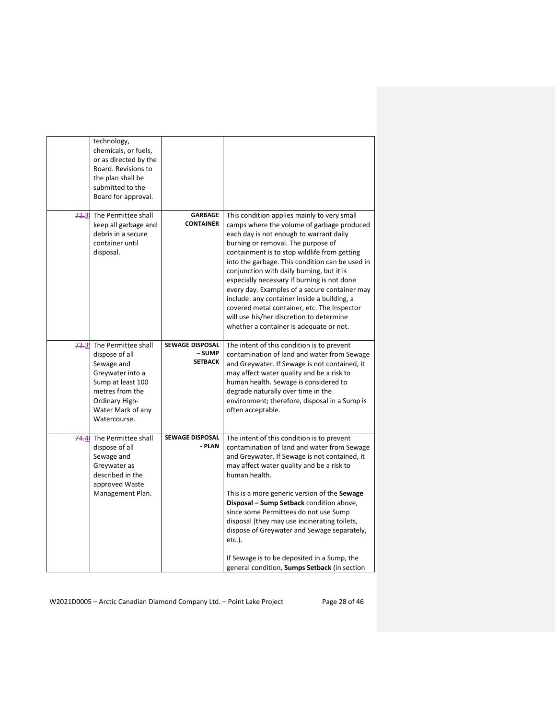|       | technology,<br>chemicals, or fuels,<br>or as directed by the<br>Board. Revisions to<br>the plan shall be<br>submitted to the<br>Board for approval.                    |                                                    |                                                                                                                                                                                                                                                                                                                                                                                                                                                                                                                                                                                                                 |
|-------|------------------------------------------------------------------------------------------------------------------------------------------------------------------------|----------------------------------------------------|-----------------------------------------------------------------------------------------------------------------------------------------------------------------------------------------------------------------------------------------------------------------------------------------------------------------------------------------------------------------------------------------------------------------------------------------------------------------------------------------------------------------------------------------------------------------------------------------------------------------|
| 72.31 | The Permittee shall<br>keep all garbage and<br>debris in a secure<br>container until<br>disposal.                                                                      | <b>GARBAGE</b><br><b>CONTAINER</b>                 | This condition applies mainly to very small<br>camps where the volume of garbage produced<br>each day is not enough to warrant daily<br>burning or removal. The purpose of<br>containment is to stop wildlife from getting<br>into the garbage. This condition can be used in<br>conjunction with daily burning, but it is<br>especially necessary if burning is not done<br>every day. Examples of a secure container may<br>include: any container inside a building, a<br>covered metal container, etc. The Inspector<br>will use his/her discretion to determine<br>whether a container is adequate or not. |
| 73.3  | The Permittee shall<br>dispose of all<br>Sewage and<br>Greywater into a<br>Sump at least 100<br>metres from the<br>Ordinary High-<br>Water Mark of any<br>Watercourse. | <b>SEWAGE DISPOSAL</b><br>– SUMP<br><b>SETBACK</b> | The intent of this condition is to prevent<br>contamination of land and water from Sewage<br>and Greywater. If Sewage is not contained, it<br>may affect water quality and be a risk to<br>human health. Sewage is considered to<br>degrade naturally over time in the<br>environment; therefore, disposal in a Sump is<br>often acceptable.                                                                                                                                                                                                                                                                    |
|       | 74.4 The Permittee shall<br>dispose of all<br>Sewage and<br>Greywater as<br>described in the<br>approved Waste<br>Management Plan.                                     | <b>SEWAGE DISPOSAL</b><br>- PLAN                   | The intent of this condition is to prevent<br>contamination of land and water from Sewage<br>and Greywater. If Sewage is not contained, it<br>may affect water quality and be a risk to<br>human health.<br>This is a more generic version of the Sewage<br>Disposal – Sump Setback condition above,<br>since some Permittees do not use Sump<br>disposal (they may use incinerating toilets,<br>dispose of Greywater and Sewage separately,<br>etc.).<br>If Sewage is to be deposited in a Sump, the<br>general condition, Sumps Setback (in section                                                           |

W2021D0005 - Arctic Canadian Diamond Company Ltd. - Point Lake Project Page 28 of 46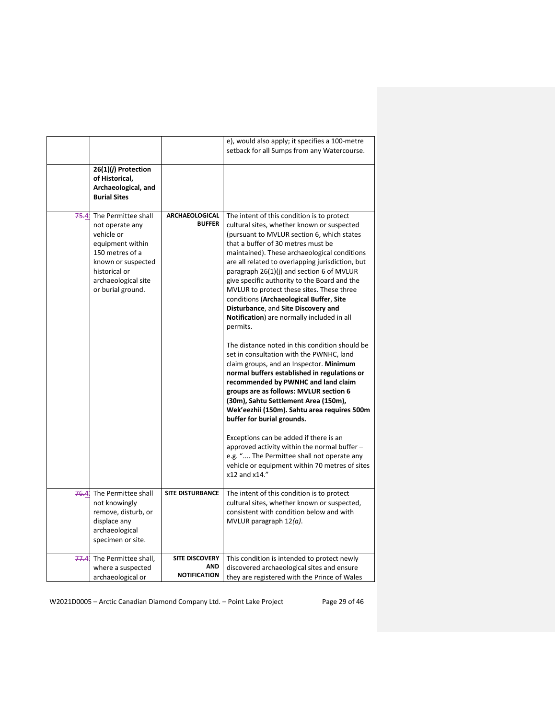|       | $26(1)(j)$ Protection<br>of Historical,<br>Archaeological, and<br><b>Burial Sites</b>                                                                                          |                                                            | e), would also apply; it specifies a 100-metre<br>setback for all Sumps from any Watercourse.                                                                                                                                                                                                                                                                                                                                                                                                                                                                                                                                                                                                                                                                                                                                                                                                                                                                                                                                                                                                                                                                                    |
|-------|--------------------------------------------------------------------------------------------------------------------------------------------------------------------------------|------------------------------------------------------------|----------------------------------------------------------------------------------------------------------------------------------------------------------------------------------------------------------------------------------------------------------------------------------------------------------------------------------------------------------------------------------------------------------------------------------------------------------------------------------------------------------------------------------------------------------------------------------------------------------------------------------------------------------------------------------------------------------------------------------------------------------------------------------------------------------------------------------------------------------------------------------------------------------------------------------------------------------------------------------------------------------------------------------------------------------------------------------------------------------------------------------------------------------------------------------|
| 75.41 | The Permittee shall<br>not operate any<br>vehicle or<br>equipment within<br>150 metres of a<br>known or suspected<br>historical or<br>archaeological site<br>or burial ground. | <b>ARCHAEOLOGICAL</b><br><b>BUFFER</b>                     | The intent of this condition is to protect<br>cultural sites, whether known or suspected<br>(pursuant to MVLUR section 6, which states<br>that a buffer of 30 metres must be<br>maintained). These archaeological conditions<br>are all related to overlapping jurisdiction, but<br>paragraph 26(1)(j) and section 6 of MVLUR<br>give specific authority to the Board and the<br>MVLUR to protect these sites. These three<br>conditions (Archaeological Buffer, Site<br>Disturbance, and Site Discovery and<br>Notification) are normally included in all<br>permits.<br>The distance noted in this condition should be<br>set in consultation with the PWNHC, land<br>claim groups, and an Inspector. Minimum<br>normal buffers established in regulations or<br>recommended by PWNHC and land claim<br>groups are as follows: MVLUR section 6<br>(30m), Sahtu Settlement Area (150m),<br>Wek'eezhii (150m). Sahtu area requires 500m<br>buffer for burial grounds.<br>Exceptions can be added if there is an<br>approved activity within the normal buffer -<br>e.g. " The Permittee shall not operate any<br>vehicle or equipment within 70 metres of sites<br>x12 and x14." |
|       | 76.4 The Permittee shall<br>not knowingly<br>remove, disturb, or<br>displace any<br>archaeological<br>specimen or site.                                                        | <b>SITE DISTURBANCE</b>                                    | The intent of this condition is to protect<br>cultural sites, whether known or suspected,<br>consistent with condition below and with<br>MVLUR paragraph $12(a)$ .                                                                                                                                                                                                                                                                                                                                                                                                                                                                                                                                                                                                                                                                                                                                                                                                                                                                                                                                                                                                               |
| 77.4  | The Permittee shall,<br>where a suspected<br>archaeological or                                                                                                                 | <b>SITE DISCOVERY</b><br><b>AND</b><br><b>NOTIFICATION</b> | This condition is intended to protect newly<br>discovered archaeological sites and ensure<br>they are registered with the Prince of Wales                                                                                                                                                                                                                                                                                                                                                                                                                                                                                                                                                                                                                                                                                                                                                                                                                                                                                                                                                                                                                                        |

W2021D0005 - Arctic Canadian Diamond Company Ltd. - Point Lake Project Page 29 of 46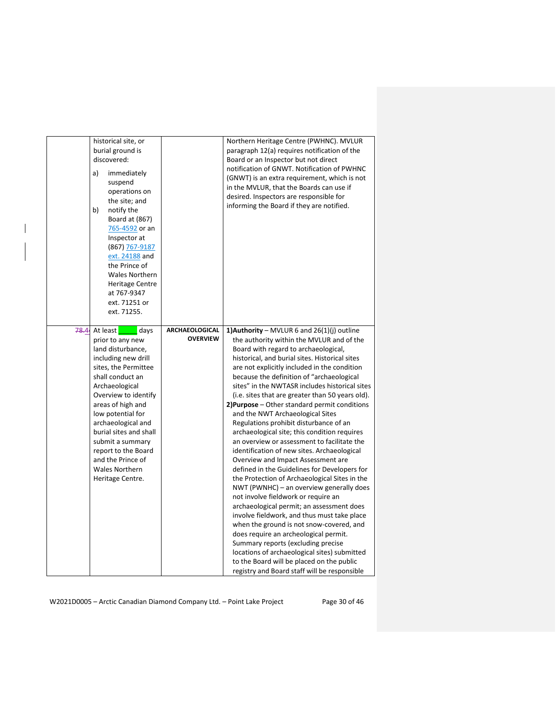| historical site, or<br>burial ground is<br>discovered:<br>immediately<br>a)<br>suspend<br>operations on<br>the site; and<br>b)<br>notify the<br>Board at (867)<br>765-4592 or an<br>Inspector at<br>(867) 767-9187<br>ext. 24188 and<br>the Prince of<br><b>Wales Northern</b><br><b>Heritage Centre</b><br>at 767-9347<br>ext. 71251 or<br>ext. 71255.                                |                                          | Northern Heritage Centre (PWHNC). MVLUR<br>paragraph 12(a) requires notification of the<br>Board or an Inspector but not direct<br>notification of GNWT. Notification of PWHNC<br>(GNWT) is an extra requirement, which is not<br>in the MVLUR, that the Boards can use if<br>desired. Inspectors are responsible for<br>informing the Board if they are notified.                                                                                                                                                                                                                                                                                                                                                                                                                                                                                                                                                                                                                                                                                                                                                                                                                                                                                                 |
|----------------------------------------------------------------------------------------------------------------------------------------------------------------------------------------------------------------------------------------------------------------------------------------------------------------------------------------------------------------------------------------|------------------------------------------|--------------------------------------------------------------------------------------------------------------------------------------------------------------------------------------------------------------------------------------------------------------------------------------------------------------------------------------------------------------------------------------------------------------------------------------------------------------------------------------------------------------------------------------------------------------------------------------------------------------------------------------------------------------------------------------------------------------------------------------------------------------------------------------------------------------------------------------------------------------------------------------------------------------------------------------------------------------------------------------------------------------------------------------------------------------------------------------------------------------------------------------------------------------------------------------------------------------------------------------------------------------------|
| 78.44<br>At least<br>days<br>prior to any new<br>land disturbance,<br>including new drill<br>sites, the Permittee<br>shall conduct an<br>Archaeological<br>Overview to identify<br>areas of high and<br>low potential for<br>archaeological and<br>burial sites and shall<br>submit a summary<br>report to the Board<br>and the Prince of<br><b>Wales Northern</b><br>Heritage Centre. | <b>ARCHAEOLOGICAL</b><br><b>OVERVIEW</b> | 1) Authority – MVLUR 6 and $26(1)(i)$ outline<br>the authority within the MVLUR and of the<br>Board with regard to archaeological,<br>historical, and burial sites. Historical sites<br>are not explicitly included in the condition<br>because the definition of "archaeological<br>sites" in the NWTASR includes historical sites<br>(i.e. sites that are greater than 50 years old).<br>2) Purpose - Other standard permit conditions<br>and the NWT Archaeological Sites<br>Regulations prohibit disturbance of an<br>archaeological site; this condition requires<br>an overview or assessment to facilitate the<br>identification of new sites. Archaeological<br>Overview and Impact Assessment are<br>defined in the Guidelines for Developers for<br>the Protection of Archaeological Sites in the<br>NWT (PWNHC) – an overview generally does<br>not involve fieldwork or require an<br>archaeological permit; an assessment does<br>involve fieldwork, and thus must take place<br>when the ground is not snow-covered, and<br>does require an archeological permit.<br>Summary reports (excluding precise<br>locations of archaeological sites) submitted<br>to the Board will be placed on the public<br>registry and Board staff will be responsible |

 $\overline{\phantom{a}}$ 

W2021D0005 - Arctic Canadian Diamond Company Ltd. - Point Lake Project Page 30 of 46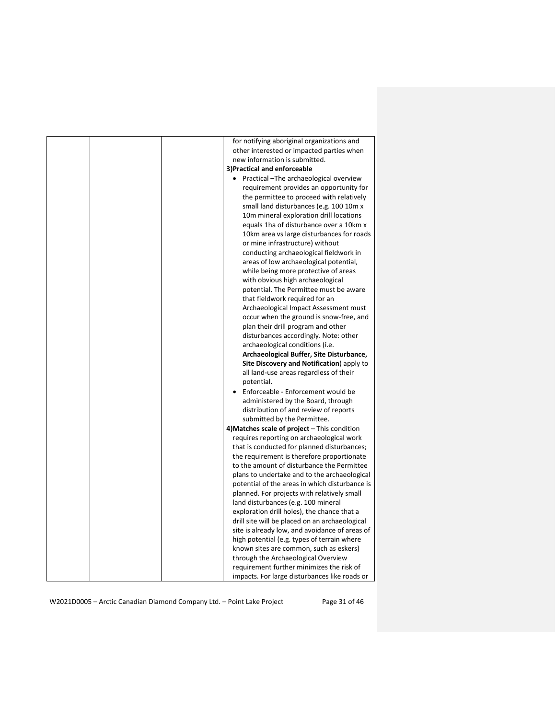| for notifying aboriginal organizations and           |
|------------------------------------------------------|
| other interested or impacted parties when            |
| new information is submitted.                        |
| 3) Practical and enforceable                         |
| Practical - The archaeological overview<br>$\bullet$ |
| requirement provides an opportunity for              |
| the permittee to proceed with relatively             |
| small land disturbances (e.g. 100 10m x              |
| 10m mineral exploration drill locations              |
| equals 1ha of disturbance over a 10km x              |
| 10km area vs large disturbances for roads            |
| or mine infrastructure) without                      |
| conducting archaeological fieldwork in               |
| areas of low archaeological potential,               |
| while being more protective of areas                 |
| with obvious high archaeological                     |
| potential. The Permittee must be aware               |
| that fieldwork required for an                       |
| Archaeological Impact Assessment must                |
| occur when the ground is snow-free, and              |
| plan their drill program and other                   |
| disturbances accordingly. Note: other                |
| archaeological conditions (i.e.                      |
| Archaeological Buffer, Site Disturbance,             |
| Site Discovery and Notification) apply to            |
| all land-use areas regardless of their               |
| potential.                                           |
| Enforceable - Enforcement would be                   |
| administered by the Board, through                   |
| distribution of and review of reports                |
| submitted by the Permittee.                          |
| 4) Matches scale of project - This condition         |
| requires reporting on archaeological work            |
| that is conducted for planned disturbances;          |
| the requirement is therefore proportionate           |
| to the amount of disturbance the Permittee           |
| plans to undertake and to the archaeological         |
| potential of the areas in which disturbance is       |
| planned. For projects with relatively small          |
| land disturbances (e.g. 100 mineral                  |
| exploration drill holes), the chance that a          |
| drill site will be placed on an archaeological       |
| site is already low, and avoidance of areas of       |
|                                                      |
| high potential (e.g. types of terrain where          |
| known sites are common, such as eskers)              |
| through the Archaeological Overview                  |
| requirement further minimizes the risk of            |
| impacts. For large disturbances like roads or        |

W2021D0005 - Arctic Canadian Diamond Company Ltd. - Point Lake Project Page 31 of 46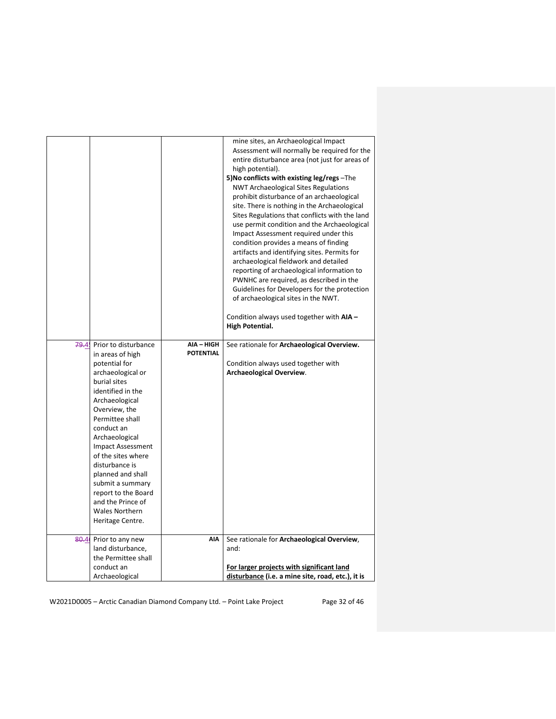|      |                                                                                                                                                                                                                                                                                                                                                                                                                 |                                | mine sites, an Archaeological Impact<br>Assessment will normally be required for the<br>entire disturbance area (not just for areas of<br>high potential).<br>5) No conflicts with existing leg/regs - The<br><b>NWT Archaeological Sites Regulations</b><br>prohibit disturbance of an archaeological<br>site. There is nothing in the Archaeological<br>Sites Regulations that conflicts with the land<br>use permit condition and the Archaeological<br>Impact Assessment required under this<br>condition provides a means of finding<br>artifacts and identifying sites. Permits for<br>archaeological fieldwork and detailed<br>reporting of archaeological information to<br>PWNHC are required, as described in the<br>Guidelines for Developers for the protection<br>of archaeological sites in the NWT.<br>Condition always used together with AIA -<br>High Potential. |
|------|-----------------------------------------------------------------------------------------------------------------------------------------------------------------------------------------------------------------------------------------------------------------------------------------------------------------------------------------------------------------------------------------------------------------|--------------------------------|------------------------------------------------------------------------------------------------------------------------------------------------------------------------------------------------------------------------------------------------------------------------------------------------------------------------------------------------------------------------------------------------------------------------------------------------------------------------------------------------------------------------------------------------------------------------------------------------------------------------------------------------------------------------------------------------------------------------------------------------------------------------------------------------------------------------------------------------------------------------------------|
| 79.4 | Prior to disturbance<br>in areas of high<br>potential for<br>archaeological or<br>burial sites<br>identified in the<br>Archaeological<br>Overview, the<br>Permittee shall<br>conduct an<br>Archaeological<br><b>Impact Assessment</b><br>of the sites where<br>disturbance is<br>planned and shall<br>submit a summary<br>report to the Board<br>and the Prince of<br><b>Wales Northern</b><br>Heritage Centre. | AIA - HIGH<br><b>POTENTIAL</b> | See rationale for Archaeological Overview.<br>Condition always used together with<br><b>Archaeological Overview.</b>                                                                                                                                                                                                                                                                                                                                                                                                                                                                                                                                                                                                                                                                                                                                                               |
| 80.4 | Prior to any new<br>land disturbance,<br>the Permittee shall<br>conduct an<br>Archaeological                                                                                                                                                                                                                                                                                                                    | AIA                            | See rationale for Archaeological Overview,<br>and:<br>For larger projects with significant land<br>disturbance (i.e. a mine site, road, etc.), it is                                                                                                                                                                                                                                                                                                                                                                                                                                                                                                                                                                                                                                                                                                                               |

W2021D0005 - Arctic Canadian Diamond Company Ltd. - Point Lake Project Page 32 of 46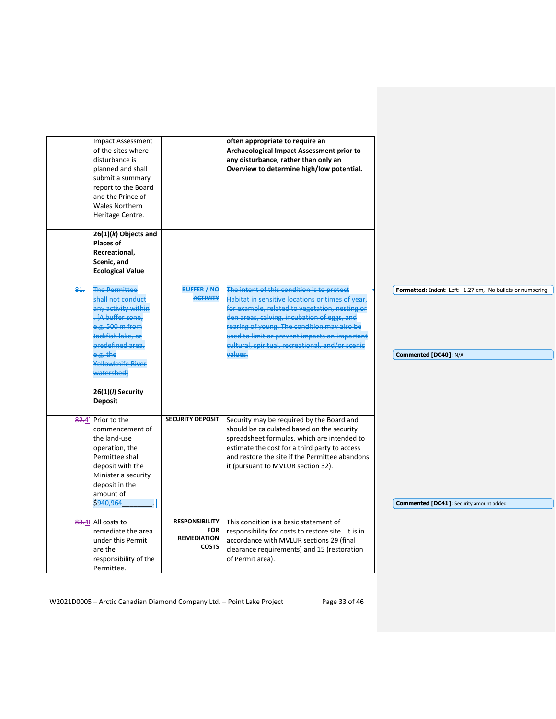|      | <b>Impact Assessment</b><br>of the sites where<br>disturbance is<br>planned and shall<br>submit a summary<br>report to the Board<br>and the Prince of<br><b>Wales Northern</b><br>Heritage Centre.     |                                                                           | often appropriate to require an<br>Archaeological Impact Assessment prior to<br>any disturbance, rather than only an<br>Overview to determine high/low potential.                                                                                                                                                                                              |                                                                                    |
|------|--------------------------------------------------------------------------------------------------------------------------------------------------------------------------------------------------------|---------------------------------------------------------------------------|----------------------------------------------------------------------------------------------------------------------------------------------------------------------------------------------------------------------------------------------------------------------------------------------------------------------------------------------------------------|------------------------------------------------------------------------------------|
|      | $26(1)(k)$ Objects and<br><b>Places of</b><br>Recreational,<br>Scenic, and<br><b>Ecological Value</b>                                                                                                  |                                                                           |                                                                                                                                                                                                                                                                                                                                                                |                                                                                    |
| 81.  | <b>The Permittee</b><br>shall not conduct<br>any activity within<br>-{A buffer zone,<br>e.g. 500 m from<br>Jackfish lake, or<br>predefined area.<br>e.g. the<br><b>Yellowknife River</b><br>watershed] | BUFFER / NO<br><b>ACTIVITY</b>                                            | The intent of this condition is to protect<br>Habitat in sensitive locations or times of year,<br>for example, related to vegetation, nesting or<br>den areas, calving, incubation of eggs, and<br>rearing of young. The condition may also be<br>used to limit or prevent impacts on important<br>cultural, spiritual, recreational, and/or scenic<br>values. | Formatted: Indent: Left: 1.27 cm, No bullets or numbering<br>Commented [DC40]: N/A |
|      | 26(1)(/) Security<br><b>Deposit</b>                                                                                                                                                                    |                                                                           |                                                                                                                                                                                                                                                                                                                                                                |                                                                                    |
| 82.4 | Prior to the<br>commencement of<br>the land-use<br>operation, the<br>Permittee shall<br>deposit with the<br>Minister a security<br>deposit in the<br>amount of<br>\$940,964                            | <b>SECURITY DEPOSIT</b>                                                   | Security may be required by the Board and<br>should be calculated based on the security<br>spreadsheet formulas, which are intended to<br>estimate the cost for a third party to access<br>and restore the site if the Permittee abandons<br>it (pursuant to MVLUR section 32).                                                                                | <b>Commented [DC41]:</b> Security amount added                                     |
|      | 83.4 All costs to<br>remediate the area<br>under this Permit<br>are the<br>responsibility of the<br>Permittee.                                                                                         | <b>RESPONSIBILITY</b><br><b>FOR</b><br><b>REMEDIATION</b><br><b>COSTS</b> | This condition is a basic statement of<br>responsibility for costs to restore site. It is in<br>accordance with MVLUR sections 29 (final<br>clearance requirements) and 15 (restoration<br>of Permit area).                                                                                                                                                    |                                                                                    |

W2021D0005 - Arctic Canadian Diamond Company Ltd. - Point Lake Project Page 33 of 46

 $\overline{\phantom{a}}$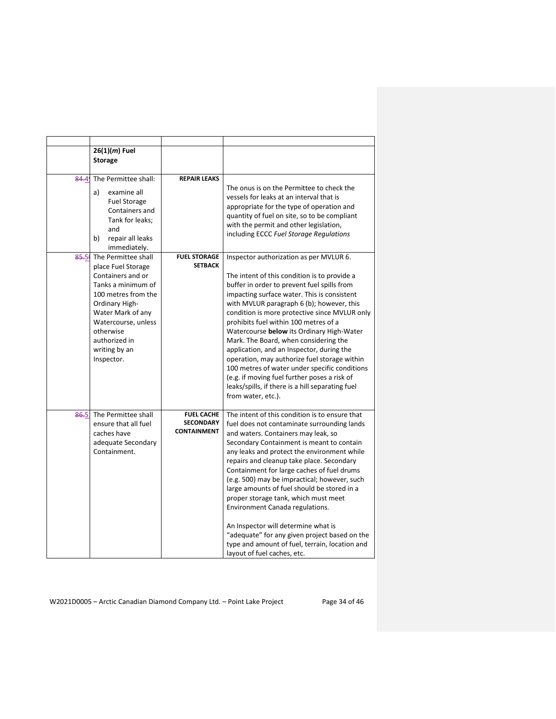|           | $26(1)(m)$ Fuel<br><b>Storage</b>                                                                                                                                                                                                      |                                                             |                                                                                                                                                                                                                                                                                                                                                                                                                                                                                                                                                                                                                                                                                            |
|-----------|----------------------------------------------------------------------------------------------------------------------------------------------------------------------------------------------------------------------------------------|-------------------------------------------------------------|--------------------------------------------------------------------------------------------------------------------------------------------------------------------------------------------------------------------------------------------------------------------------------------------------------------------------------------------------------------------------------------------------------------------------------------------------------------------------------------------------------------------------------------------------------------------------------------------------------------------------------------------------------------------------------------------|
| 84.4      | The Permittee shall:<br>a)<br>examine all<br><b>Fuel Storage</b><br>Containers and<br>Tank for leaks;<br>and<br>repair all leaks<br>b)<br>immediately.                                                                                 | <b>REPAIR LEAKS</b>                                         | The onus is on the Permittee to check the<br>vessels for leaks at an interval that is<br>appropriate for the type of operation and<br>quantity of fuel on site, so to be compliant<br>with the permit and other legislation,<br>including ECCC Fuel Storage Regulations                                                                                                                                                                                                                                                                                                                                                                                                                    |
| $85 - 50$ | The Permittee shall<br>place Fuel Storage<br>Containers and or<br>Tanks a minimum of<br>100 metres from the<br>Ordinary High-<br>Water Mark of any<br>Watercourse, unless<br>otherwise<br>authorized in<br>writing by an<br>Inspector. | <b>FUEL STORAGE</b><br><b>SETBACK</b>                       | Inspector authorization as per MVLUR 6.<br>The intent of this condition is to provide a<br>buffer in order to prevent fuel spills from<br>impacting surface water. This is consistent<br>with MVLUR paragraph 6 (b); however, this<br>condition is more protective since MVLUR only<br>prohibits fuel within 100 metres of a<br>Watercourse below its Ordinary High-Water<br>Mark. The Board, when considering the<br>application, and an Inspector, during the<br>operation, may authorize fuel storage within<br>100 metres of water under specific conditions<br>(e.g. if moving fuel further poses a risk of<br>leaks/spills, if there is a hill separating fuel<br>from water, etc.). |
| 86.5      | The Permittee shall<br>ensure that all fuel<br>caches have<br>adequate Secondary<br>Containment.                                                                                                                                       | <b>FUEL CACHE</b><br><b>SECONDARY</b><br><b>CONTAINMENT</b> | The intent of this condition is to ensure that<br>fuel does not contaminate surrounding lands<br>and waters. Containers may leak, so<br>Secondary Containment is meant to contain<br>any leaks and protect the environment while<br>repairs and cleanup take place. Secondary<br>Containment for large caches of fuel drums<br>(e.g. 500) may be impractical; however, such<br>large amounts of fuel should be stored in a<br>proper storage tank, which must meet<br>Environment Canada regulations.<br>An Inspector will determine what is<br>"adequate" for any given project based on the<br>type and amount of fuel, terrain, location and<br>layout of fuel caches, etc.             |

W2021D0005 - Arctic Canadian Diamond Company Ltd. - Point Lake Project Page 34 of 46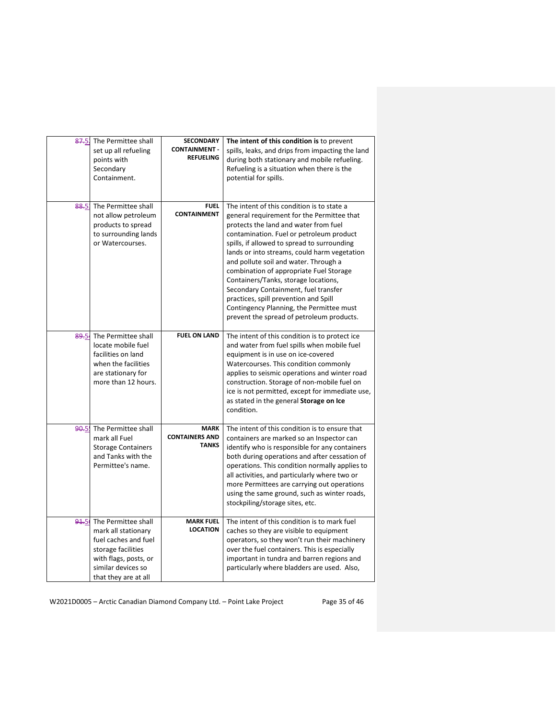| 87.5. | The Permittee shall<br>set up all refueling<br>points with<br>Secondary<br>Containment.                                                                         | <b>SECONDARY</b><br><b>CONTAINMENT -</b><br><b>REFUELING</b> | The intent of this condition is to prevent<br>spills, leaks, and drips from impacting the land<br>during both stationary and mobile refueling.<br>Refueling is a situation when there is the<br>potential for spills.                                                                                                                                                                                                                                                                                                                                                              |
|-------|-----------------------------------------------------------------------------------------------------------------------------------------------------------------|--------------------------------------------------------------|------------------------------------------------------------------------------------------------------------------------------------------------------------------------------------------------------------------------------------------------------------------------------------------------------------------------------------------------------------------------------------------------------------------------------------------------------------------------------------------------------------------------------------------------------------------------------------|
| 88.5  | The Permittee shall<br>not allow petroleum<br>products to spread<br>to surrounding lands<br>or Watercourses.                                                    | <b>FUEL</b><br><b>CONTAINMENT</b>                            | The intent of this condition is to state a<br>general requirement for the Permittee that<br>protects the land and water from fuel<br>contamination. Fuel or petroleum product<br>spills, if allowed to spread to surrounding<br>lands or into streams, could harm vegetation<br>and pollute soil and water. Through a<br>combination of appropriate Fuel Storage<br>Containers/Tanks, storage locations,<br>Secondary Containment, fuel transfer<br>practices, spill prevention and Spill<br>Contingency Planning, the Permittee must<br>prevent the spread of petroleum products. |
| 89.54 | The Permittee shall<br>locate mobile fuel<br>facilities on land<br>when the facilities<br>are stationary for<br>more than 12 hours.                             | <b>FUEL ON LAND</b>                                          | The intent of this condition is to protect ice<br>and water from fuel spills when mobile fuel<br>equipment is in use on ice-covered<br>Watercourses. This condition commonly<br>applies to seismic operations and winter road<br>construction. Storage of non-mobile fuel on<br>ice is not permitted, except for immediate use,<br>as stated in the general Storage on Ice<br>condition.                                                                                                                                                                                           |
| 90.5  | The Permittee shall<br>mark all Fuel<br><b>Storage Containers</b><br>and Tanks with the<br>Permittee's name.                                                    | <b>MARK</b><br><b>CONTAINERS AND</b><br><b>TANKS</b>         | The intent of this condition is to ensure that<br>containers are marked so an Inspector can<br>identify who is responsible for any containers<br>both during operations and after cessation of<br>operations. This condition normally applies to<br>all activities, and particularly where two or<br>more Permittees are carrying out operations<br>using the same ground, such as winter roads,<br>stockpiling/storage sites, etc.                                                                                                                                                |
| 94.5  | The Permittee shall<br>mark all stationary<br>fuel caches and fuel<br>storage facilities<br>with flags, posts, or<br>similar devices so<br>that they are at all | <b>MARK FUEL</b><br><b>LOCATION</b>                          | The intent of this condition is to mark fuel<br>caches so they are visible to equipment<br>operators, so they won't run their machinery<br>over the fuel containers. This is especially<br>important in tundra and barren regions and<br>particularly where bladders are used. Also,                                                                                                                                                                                                                                                                                               |

W2021D0005 - Arctic Canadian Diamond Company Ltd. - Point Lake Project Page 35 of 46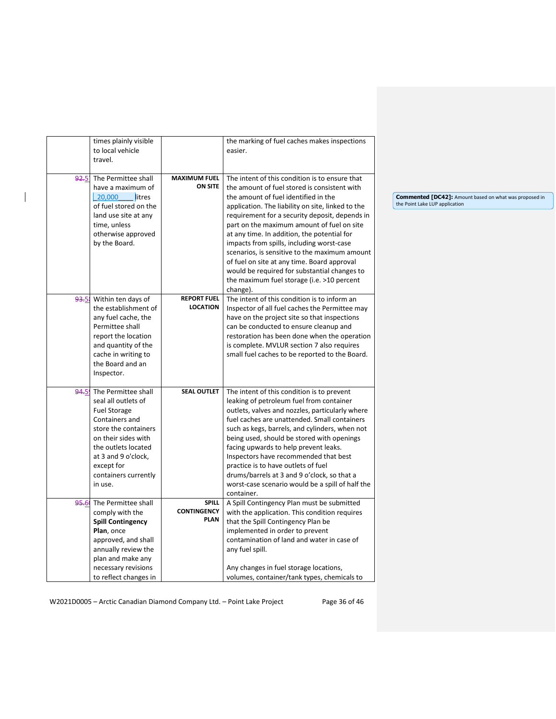|       | times plainly visible    |                     | the marking of fuel caches makes inspections      |
|-------|--------------------------|---------------------|---------------------------------------------------|
|       | to local vehicle         |                     | easier.                                           |
|       | travel.                  |                     |                                                   |
|       |                          |                     |                                                   |
| 92.5  | The Permittee shall      | <b>MAXIMUM FUEL</b> | The intent of this condition is to ensure that    |
|       | have a maximum of        | <b>ON SITE</b>      | the amount of fuel stored is consistent with      |
|       | 20,000<br>litres         |                     | the amount of fuel identified in the              |
|       | of fuel stored on the    |                     | application. The liability on site, linked to the |
|       | land use site at any     |                     | requirement for a security deposit, depends in    |
|       | time, unless             |                     | part on the maximum amount of fuel on site        |
|       | otherwise approved       |                     | at any time. In addition, the potential for       |
|       | by the Board.            |                     | impacts from spills, including worst-case         |
|       |                          |                     | scenarios, is sensitive to the maximum amount     |
|       |                          |                     | of fuel on site at any time. Board approval       |
|       |                          |                     | would be required for substantial changes to      |
|       |                          |                     | the maximum fuel storage (i.e. >10 percent        |
|       |                          |                     | change).                                          |
| 93.5  | Within ten days of       | <b>REPORT FUEL</b>  | The intent of this condition is to inform an      |
|       | the establishment of     | <b>LOCATION</b>     | Inspector of all fuel caches the Permittee may    |
|       | any fuel cache, the      |                     | have on the project site so that inspections      |
|       | Permittee shall          |                     | can be conducted to ensure cleanup and            |
|       | report the location      |                     | restoration has been done when the operation      |
|       | and quantity of the      |                     | is complete. MVLUR section 7 also requires        |
|       | cache in writing to      |                     | small fuel caches to be reported to the Board.    |
|       | the Board and an         |                     |                                                   |
|       | Inspector.               |                     |                                                   |
|       |                          |                     |                                                   |
| 94.5  | The Permittee shall      | <b>SEAL OUTLET</b>  | The intent of this condition is to prevent        |
|       | seal all outlets of      |                     | leaking of petroleum fuel from container          |
|       | <b>Fuel Storage</b>      |                     | outlets, valves and nozzles, particularly where   |
|       | Containers and           |                     | fuel caches are unattended. Small containers      |
|       | store the containers     |                     | such as kegs, barrels, and cylinders, when not    |
|       | on their sides with      |                     | being used, should be stored with openings        |
|       | the outlets located      |                     | facing upwards to help prevent leaks.             |
|       | at 3 and 9 o'clock,      |                     | Inspectors have recommended that best             |
|       | except for               |                     | practice is to have outlets of fuel               |
|       | containers currently     |                     | drums/barrels at 3 and 9 o'clock, so that a       |
|       | in use.                  |                     | worst-case scenario would be a spill of half the  |
|       |                          |                     | container.                                        |
| 95.6( | The Permittee shall      | <b>SPILL</b>        | A Spill Contingency Plan must be submitted        |
|       | comply with the          | <b>CONTINGENCY</b>  | with the application. This condition requires     |
|       | <b>Spill Contingency</b> | <b>PLAN</b>         | that the Spill Contingency Plan be                |
|       | Plan, once               |                     | implemented in order to prevent                   |
|       | approved, and shall      |                     | contamination of land and water in case of        |
|       | annually review the      |                     | any fuel spill.                                   |
|       | plan and make any        |                     |                                                   |
|       | necessary revisions      |                     | Any changes in fuel storage locations,            |
|       | to reflect changes in    |                     | volumes, container/tank types, chemicals to       |

 $\overline{\phantom{a}}$ 

**Commented [DC42]:** Amount based on what was proposed in the Point Lake LUP application

W2021D0005 - Arctic Canadian Diamond Company Ltd. - Point Lake Project Page 36 of 46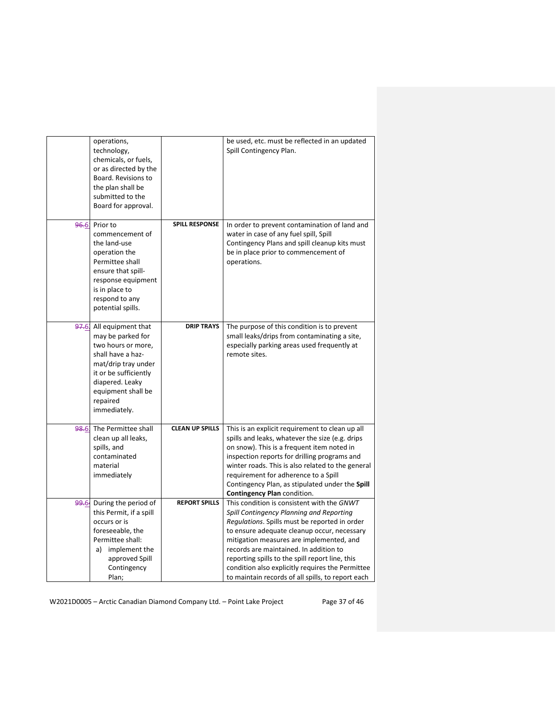|                  | operations,<br>technology,<br>chemicals, or fuels,<br>or as directed by the<br>Board. Revisions to<br>the plan shall be<br>submitted to the<br>Board for approval. |                        | be used, etc. must be reflected in an updated<br>Spill Contingency Plan.                    |
|------------------|--------------------------------------------------------------------------------------------------------------------------------------------------------------------|------------------------|---------------------------------------------------------------------------------------------|
| 96.6             | Prior to                                                                                                                                                           | <b>SPILL RESPONSE</b>  | In order to prevent contamination of land and                                               |
|                  | commencement of                                                                                                                                                    |                        | water in case of any fuel spill, Spill                                                      |
|                  | the land-use                                                                                                                                                       |                        | Contingency Plans and spill cleanup kits must                                               |
|                  | operation the                                                                                                                                                      |                        | be in place prior to commencement of                                                        |
|                  | Permittee shall<br>ensure that spill-                                                                                                                              |                        | operations.                                                                                 |
|                  | response equipment                                                                                                                                                 |                        |                                                                                             |
|                  | is in place to                                                                                                                                                     |                        |                                                                                             |
|                  | respond to any                                                                                                                                                     |                        |                                                                                             |
|                  | potential spills.                                                                                                                                                  |                        |                                                                                             |
|                  |                                                                                                                                                                    |                        |                                                                                             |
| <del>97.</del> 6 | All equipment that                                                                                                                                                 | <b>DRIP TRAYS</b>      | The purpose of this condition is to prevent                                                 |
|                  | may be parked for<br>two hours or more,                                                                                                                            |                        | small leaks/drips from contaminating a site,<br>especially parking areas used frequently at |
|                  | shall have a haz-                                                                                                                                                  |                        | remote sites.                                                                               |
|                  | mat/drip tray under                                                                                                                                                |                        |                                                                                             |
|                  | it or be sufficiently                                                                                                                                              |                        |                                                                                             |
|                  | diapered. Leaky                                                                                                                                                    |                        |                                                                                             |
|                  | equipment shall be                                                                                                                                                 |                        |                                                                                             |
|                  | repaired                                                                                                                                                           |                        |                                                                                             |
|                  | immediately.                                                                                                                                                       |                        |                                                                                             |
| <b>98.6</b>      | The Permittee shall                                                                                                                                                | <b>CLEAN UP SPILLS</b> | This is an explicit requirement to clean up all                                             |
|                  | clean up all leaks,                                                                                                                                                |                        | spills and leaks, whatever the size (e.g. drips                                             |
|                  | spills, and                                                                                                                                                        |                        | on snow). This is a frequent item noted in                                                  |
|                  | contaminated                                                                                                                                                       |                        | inspection reports for drilling programs and                                                |
|                  | material                                                                                                                                                           |                        | winter roads. This is also related to the general                                           |
|                  | immediately                                                                                                                                                        |                        | requirement for adherence to a Spill                                                        |
|                  |                                                                                                                                                                    |                        | Contingency Plan, as stipulated under the Spill                                             |
|                  |                                                                                                                                                                    |                        | Contingency Plan condition.                                                                 |
| 99.6             | During the period of<br>this Permit, if a spill                                                                                                                    | <b>REPORT SPILLS</b>   | This condition is consistent with the GNWT<br>Spill Contingency Planning and Reporting      |
|                  | occurs or is                                                                                                                                                       |                        | Regulations. Spills must be reported in order                                               |
|                  | foreseeable, the                                                                                                                                                   |                        | to ensure adequate cleanup occur, necessary                                                 |
|                  | Permittee shall:                                                                                                                                                   |                        | mitigation measures are implemented, and                                                    |
|                  | a) implement the                                                                                                                                                   |                        | records are maintained. In addition to                                                      |
|                  | approved Spill                                                                                                                                                     |                        | reporting spills to the spill report line, this                                             |
|                  | Contingency                                                                                                                                                        |                        | condition also explicitly requires the Permittee                                            |
|                  | Plan;                                                                                                                                                              |                        | to maintain records of all spills, to report each                                           |

W2021D0005 - Arctic Canadian Diamond Company Ltd. - Point Lake Project Page 37 of 46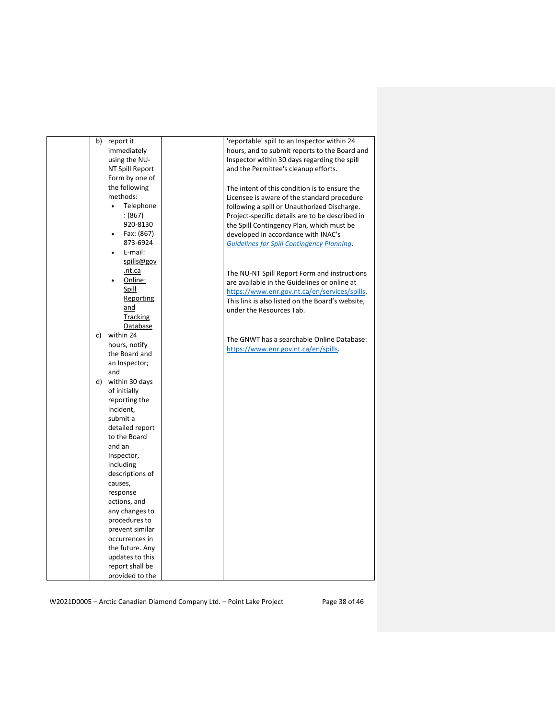| b) | report it              | 'reportable' spill to an Inspector within 24      |
|----|------------------------|---------------------------------------------------|
|    | immediately            | hours, and to submit reports to the Board and     |
|    | using the NU-          | Inspector within 30 days regarding the spill      |
|    | NT Spill Report        | and the Permittee's cleanup efforts.              |
|    | Form by one of         |                                                   |
|    | the following          | The intent of this condition is to ensure the     |
|    | methods:               | Licensee is aware of the standard procedure       |
|    | Telephone<br>$\bullet$ | following a spill or Unauthorized Discharge.      |
|    | (867)                  | Project-specific details are to be described in   |
|    | 920-8130               | the Spill Contingency Plan, which must be         |
|    | Fax: (867)             | developed in accordance with INAC's               |
|    | 873-6924               | <b>Guidelines for Spill Contingency Planning.</b> |
|    | E-mail:                |                                                   |
|    | spills@gov             |                                                   |
|    | .nt.ca                 | The NU-NT Spill Report Form and instructions      |
|    | Online:                | are available in the Guidelines or online at      |
|    | Spill                  | https://www.enr.gov.nt.ca/en/services/spills.     |
|    | Reporting              | This link is also listed on the Board's website,  |
|    | and                    | under the Resources Tab.                          |
|    | <b>Tracking</b>        |                                                   |
|    | Database               |                                                   |
|    | c) within 24           | The GNWT has a searchable Online Database:        |
|    | hours, notify          | https://www.enr.gov.nt.ca/en/spills.              |
|    | the Board and          |                                                   |
|    | an Inspector;          |                                                   |
|    | and                    |                                                   |
|    | d) within 30 days      |                                                   |
|    | of initially           |                                                   |
|    | reporting the          |                                                   |
|    | incident,              |                                                   |
|    | submit a               |                                                   |
|    | detailed report        |                                                   |
|    | to the Board<br>and an |                                                   |
|    | Inspector,             |                                                   |
|    | including              |                                                   |
|    | descriptions of        |                                                   |
|    | causes,                |                                                   |
|    | response               |                                                   |
|    | actions, and           |                                                   |
|    | any changes to         |                                                   |
|    | procedures to          |                                                   |
|    | prevent similar        |                                                   |
|    | occurrences in         |                                                   |
|    | the future. Any        |                                                   |
|    | updates to this        |                                                   |
|    | report shall be        |                                                   |
|    | provided to the        |                                                   |
|    |                        |                                                   |

W2021D0005 - Arctic Canadian Diamond Company Ltd. - Point Lake Project Page 38 of 46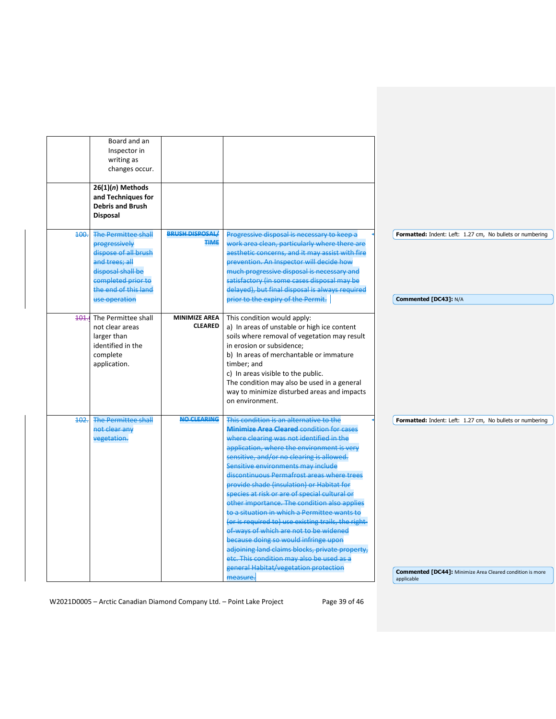|         | Board and an<br>Inspector in<br>writing as<br>changes occur.<br>$26(1)(n)$ Methods<br>and Techniques for<br><b>Debris and Brush</b><br><b>Disposal</b>                    |                                        |                                                                                                                                                                                                                                                                                                                                                                                                                                                                                                                                                                                                                                                                                                                                                                                                        |                                                                                                                               |
|---------|---------------------------------------------------------------------------------------------------------------------------------------------------------------------------|----------------------------------------|--------------------------------------------------------------------------------------------------------------------------------------------------------------------------------------------------------------------------------------------------------------------------------------------------------------------------------------------------------------------------------------------------------------------------------------------------------------------------------------------------------------------------------------------------------------------------------------------------------------------------------------------------------------------------------------------------------------------------------------------------------------------------------------------------------|-------------------------------------------------------------------------------------------------------------------------------|
| 400.    | <b>The Permittee shall</b><br>progressively<br>dispose of all brush<br>and trees: all<br>disposal shall be<br>completed prior to<br>the end of this land<br>use operation | <b>BRUSH DISPOSAL/</b><br><b>TIME</b>  | Progressive disposal is necessary to keep a<br>work area clean, particularly where there are<br>aesthetic concerns, and it may assist with fire<br>prevention. An Inspector will decide how<br>much progressive disposal is necessary and<br>satisfactory (in some cases disposal may be<br>delayed), but final disposal is always required<br>prior to the expiry of the Permit.                                                                                                                                                                                                                                                                                                                                                                                                                      | Formatted: Indent: Left: 1.27 cm, No bullets or numbering<br>Commented [DC43]: N/A                                            |
| $401 -$ | The Permittee shall<br>not clear areas<br>larger than<br>identified in the<br>complete<br>application.                                                                    | <b>MINIMIZE AREA</b><br><b>CLEARED</b> | This condition would apply:<br>a) In areas of unstable or high ice content<br>soils where removal of vegetation may result<br>in erosion or subsidence;<br>b) In areas of merchantable or immature<br>timber; and<br>c) In areas visible to the public.<br>The condition may also be used in a general<br>way to minimize disturbed areas and impacts<br>on environment.                                                                                                                                                                                                                                                                                                                                                                                                                               |                                                                                                                               |
| 402.    | <b>The Permittee shall</b><br>not clear any<br>vegetation.                                                                                                                | <b>NO CLEARING</b>                     | This condition is an alternative to the<br><b>Minimize Area Cleared condition for cases</b><br>where clearing was not identified in the<br>application, where the environment is very<br>sensitive, and/or no clearing is allowed.<br>Sensitive environments may include<br>discontinuous Permafrost areas where trees<br>provide shade (insulation) or Habitat for<br>species at risk or are of special cultural or<br>other importance. The condition also applies<br>to a situation in which a Permittee wants to<br>(or is required to) use existing trails, the right-<br>of-ways of which are not to be widened<br>because doing so would infringe upon<br>adjoining land claims blocks, private property,<br>etc. This condition may also be used as a<br>general Habitat/vegetation protection | Formatted: Indent: Left: 1.27 cm, No bullets or numbering<br><b>Commented [DC44]:</b> Minimize Area Cleared condition is more |
|         |                                                                                                                                                                           |                                        | measure.                                                                                                                                                                                                                                                                                                                                                                                                                                                                                                                                                                                                                                                                                                                                                                                               | applicable                                                                                                                    |

W2021D0005 - Arctic Canadian Diamond Company Ltd. - Point Lake Project Page 39 of 46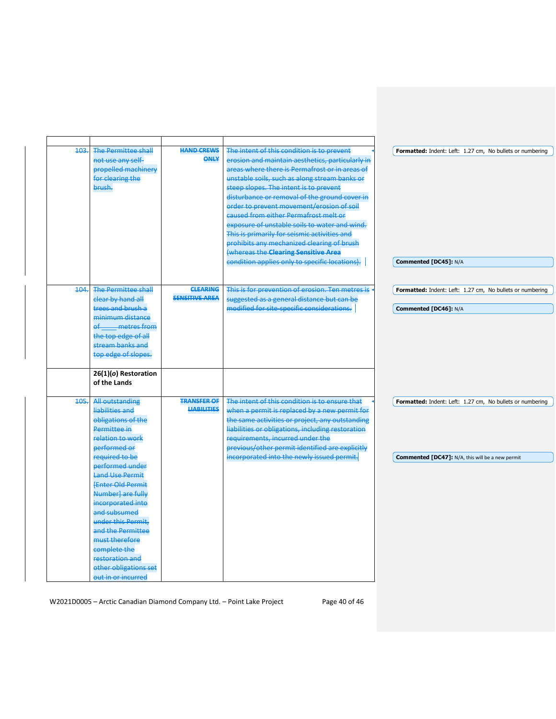| 103. | <b>The Permittee shall</b><br>not use any self-<br>propelled machinery<br>for clearing the<br>brush.                                                                                                                                                                                                                                                                                                             | <b>HAND CREWS</b><br><b>ONLY</b>         | The intent of this condition is to prevent<br>erosion and maintain aesthetics, particularly in<br>areas where there is Permafrost or in areas of<br>unstable soils, such as along stream banks or<br>steep slopes. The intent is to prevent<br>disturbance or removal of the ground cover in<br>order to prevent movement/erosion of soil<br>caused from either Permafrost melt or<br>exposure of unstable soils to water and wind.<br>This is primarily for seismic activities and<br>prohibits any mechanized clearing of brush<br>(whereas the Clearing Sensitive Area<br>condition applies only to specific locations). | Formatted: Indent: Left: 1.27 cm, No bullets or numbering<br>Commented [DC45]: N/A                                   |
|------|------------------------------------------------------------------------------------------------------------------------------------------------------------------------------------------------------------------------------------------------------------------------------------------------------------------------------------------------------------------------------------------------------------------|------------------------------------------|-----------------------------------------------------------------------------------------------------------------------------------------------------------------------------------------------------------------------------------------------------------------------------------------------------------------------------------------------------------------------------------------------------------------------------------------------------------------------------------------------------------------------------------------------------------------------------------------------------------------------------|----------------------------------------------------------------------------------------------------------------------|
| 404. | <b>The Permittee shall</b><br>clear by hand all<br>trees and brush a<br>minimum distance<br>metres from<br>$\theta$<br>the top edge of all<br>stream banks and<br>top edge of slopes.<br>26(1)(o) Restoration                                                                                                                                                                                                    | <b>CLEARING</b><br><b>SENSITIVE AREA</b> | This is for prevention of erosion. Ten metres is<br>suggested as a general distance but can be<br>modified for site-specific considerations.                                                                                                                                                                                                                                                                                                                                                                                                                                                                                | Formatted: Indent: Left: 1.27 cm, No bullets or numbering<br>Commented [DC46]: N/A                                   |
|      | of the Lands                                                                                                                                                                                                                                                                                                                                                                                                     |                                          |                                                                                                                                                                                                                                                                                                                                                                                                                                                                                                                                                                                                                             |                                                                                                                      |
| 105. | All outstanding<br>liabilities and<br>obligations of the<br>Permittee in<br>relation to work<br>performed or<br>required to be<br>performed under<br><b>Land Use Permit</b><br><b>FEnter Old Permit</b><br>Number] are fully<br>incorporated into<br>and subsumed<br>under this Permit.<br>and the Permittee<br>must therefore<br>complete the<br>restoration and<br>other obligations set<br>out in or incurred | <b>TRANSFER OF</b><br><b>LIABILITIES</b> | The intent of this condition is to ensure that<br>when a permit is replaced by a new permit for<br>the same activities or project, any outstanding<br>liabilities or obligations, including restoration<br>requirements, incurred under the<br>previous/other permit identified are explicitly<br>incorporated into the newly issued permit.                                                                                                                                                                                                                                                                                | Formatted: Indent: Left: 1.27 cm, No bullets or numbering<br><b>Commented [DC47]:</b> N/A, this will be a new permit |

W2021D0005 - Arctic Canadian Diamond Company Ltd. - Point Lake Project Page 40 of 46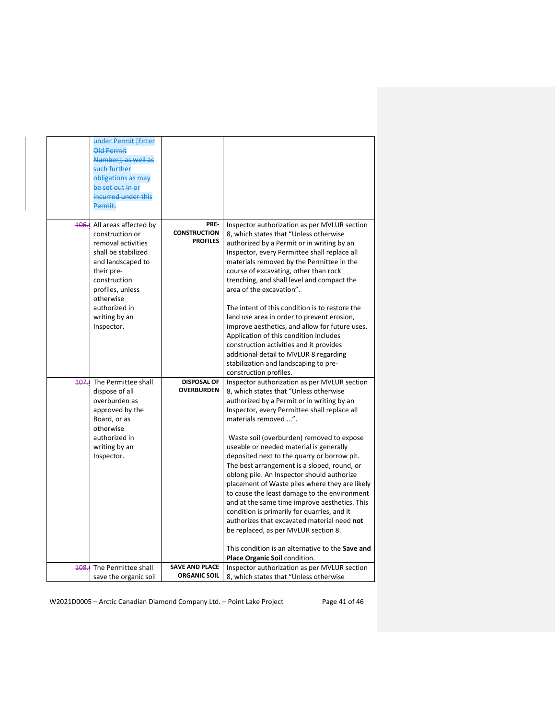|      | under Permit [Enter<br><b>Old Permit</b><br>Numberl, as well as<br>such further<br>obligations as may<br>be set out in or<br>incurred under this<br>Permit.                                                                    |                                                |                                                                                                                                                                                                                                                                                                                                                                                                                                                                                                                                                                                                                                                                                                                                                                                                                                |
|------|--------------------------------------------------------------------------------------------------------------------------------------------------------------------------------------------------------------------------------|------------------------------------------------|--------------------------------------------------------------------------------------------------------------------------------------------------------------------------------------------------------------------------------------------------------------------------------------------------------------------------------------------------------------------------------------------------------------------------------------------------------------------------------------------------------------------------------------------------------------------------------------------------------------------------------------------------------------------------------------------------------------------------------------------------------------------------------------------------------------------------------|
|      | 106. All areas affected by<br>construction or<br>removal activities<br>shall be stabilized<br>and landscaped to<br>their pre-<br>construction<br>profiles, unless<br>otherwise<br>authorized in<br>writing by an<br>Inspector. | PRE-<br><b>CONSTRUCTION</b><br><b>PROFILES</b> | Inspector authorization as per MVLUR section<br>8, which states that "Unless otherwise<br>authorized by a Permit or in writing by an<br>Inspector, every Permittee shall replace all<br>materials removed by the Permittee in the<br>course of excavating, other than rock<br>trenching, and shall level and compact the<br>area of the excavation".<br>The intent of this condition is to restore the<br>land use area in order to prevent erosion,<br>improve aesthetics, and allow for future uses.<br>Application of this condition includes<br>construction activities and it provides<br>additional detail to MVLUR 8 regarding<br>stabilization and landscaping to pre-<br>construction profiles.                                                                                                                       |
|      | <b>407.</b> The Permittee shall<br>dispose of all<br>overburden as<br>approved by the<br>Board, or as<br>otherwise<br>authorized in<br>writing by an<br>Inspector.                                                             | <b>DISPOSAL OF</b><br><b>OVERBURDEN</b>        | Inspector authorization as per MVLUR section<br>8, which states that "Unless otherwise<br>authorized by a Permit or in writing by an<br>Inspector, every Permittee shall replace all<br>materials removed ".<br>Waste soil (overburden) removed to expose<br>useable or needed material is generally<br>deposited next to the quarry or borrow pit.<br>The best arrangement is a sloped, round, or<br>oblong pile. An Inspector should authorize<br>placement of Waste piles where they are likely<br>to cause the least damage to the environment<br>and at the same time improve aesthetics. This<br>condition is primarily for quarries, and it<br>authorizes that excavated material need not<br>be replaced, as per MVLUR section 8.<br>This condition is an alternative to the Save and<br>Place Organic Soil condition. |
| 408. | The Permittee shall<br>save the organic soil                                                                                                                                                                                   | <b>SAVE AND PLACE</b><br><b>ORGANIC SOIL</b>   | Inspector authorization as per MVLUR section<br>8, which states that "Unless otherwise                                                                                                                                                                                                                                                                                                                                                                                                                                                                                                                                                                                                                                                                                                                                         |

W2021D0005 - Arctic Canadian Diamond Company Ltd. - Point Lake Project Page 41 of 46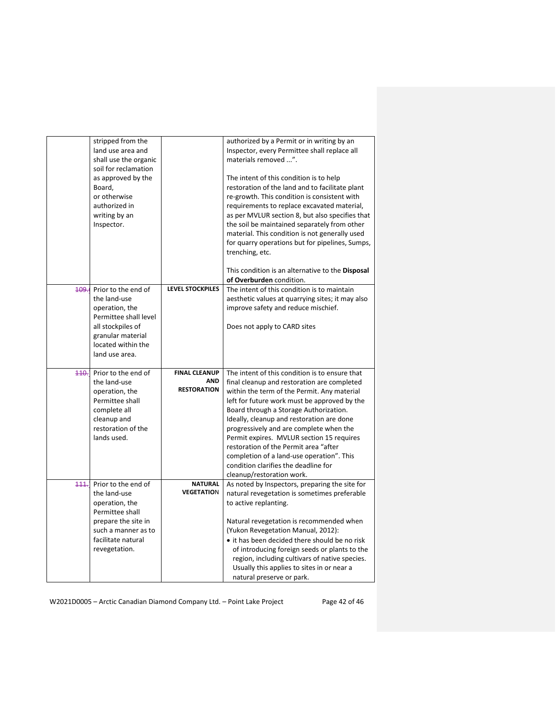|       | stripped from the<br>land use area and<br>shall use the organic<br>soil for reclamation    |                                     | authorized by a Permit or in writing by an<br>Inspector, every Permittee shall replace all<br>materials removed ".                                                                                                                           |
|-------|--------------------------------------------------------------------------------------------|-------------------------------------|----------------------------------------------------------------------------------------------------------------------------------------------------------------------------------------------------------------------------------------------|
|       | as approved by the<br>Board,<br>or otherwise<br>authorized in<br>writing by an             |                                     | The intent of this condition is to help<br>restoration of the land and to facilitate plant<br>re-growth. This condition is consistent with<br>requirements to replace excavated material,<br>as per MVLUR section 8, but also specifies that |
|       | Inspector.                                                                                 |                                     | the soil be maintained separately from other<br>material. This condition is not generally used<br>for quarry operations but for pipelines, Sumps,<br>trenching, etc.                                                                         |
|       |                                                                                            |                                     | This condition is an alternative to the Disposal<br>of Overburden condition.                                                                                                                                                                 |
|       | <b>109.</b> Prior to the end of<br>the land-use<br>operation, the<br>Permittee shall level | <b>LEVEL STOCKPILES</b>             | The intent of this condition is to maintain<br>aesthetic values at quarrying sites; it may also<br>improve safety and reduce mischief.                                                                                                       |
|       | all stockpiles of<br>granular material<br>located within the<br>land use area.             |                                     | Does not apply to CARD sites                                                                                                                                                                                                                 |
| 440.7 | Prior to the end of<br>the land-use                                                        | <b>FINAL CLEANUP</b><br><b>AND</b>  | The intent of this condition is to ensure that<br>final cleanup and restoration are completed                                                                                                                                                |
|       | operation, the                                                                             | <b>RESTORATION</b>                  | within the term of the Permit. Any material                                                                                                                                                                                                  |
|       | Permittee shall<br>complete all                                                            |                                     | left for future work must be approved by the<br>Board through a Storage Authorization.                                                                                                                                                       |
|       | cleanup and                                                                                |                                     | Ideally, cleanup and restoration are done                                                                                                                                                                                                    |
|       | restoration of the<br>lands used.                                                          |                                     | progressively and are complete when the<br>Permit expires. MVLUR section 15 requires                                                                                                                                                         |
|       |                                                                                            |                                     | restoration of the Permit area "after<br>completion of a land-use operation". This                                                                                                                                                           |
|       |                                                                                            |                                     | condition clarifies the deadline for                                                                                                                                                                                                         |
|       |                                                                                            |                                     | cleanup/restoration work.                                                                                                                                                                                                                    |
| 111   | Prior to the end of<br>the land-use<br>operation, the<br>Permittee shall                   | <b>NATURAL</b><br><b>VEGETATION</b> | As noted by Inspectors, preparing the site for<br>natural revegetation is sometimes preferable<br>to active replanting.                                                                                                                      |
|       | prepare the site in                                                                        |                                     | Natural revegetation is recommended when                                                                                                                                                                                                     |
|       | such a manner as to                                                                        |                                     | (Yukon Revegetation Manual, 2012):                                                                                                                                                                                                           |
|       | facilitate natural<br>revegetation.                                                        |                                     | • it has been decided there should be no risk<br>of introducing foreign seeds or plants to the<br>region, including cultivars of native species.<br>Usually this applies to sites in or near a                                               |
|       |                                                                                            |                                     | natural preserve or park.                                                                                                                                                                                                                    |

W2021D0005 - Arctic Canadian Diamond Company Ltd. - Point Lake Project Page 42 of 46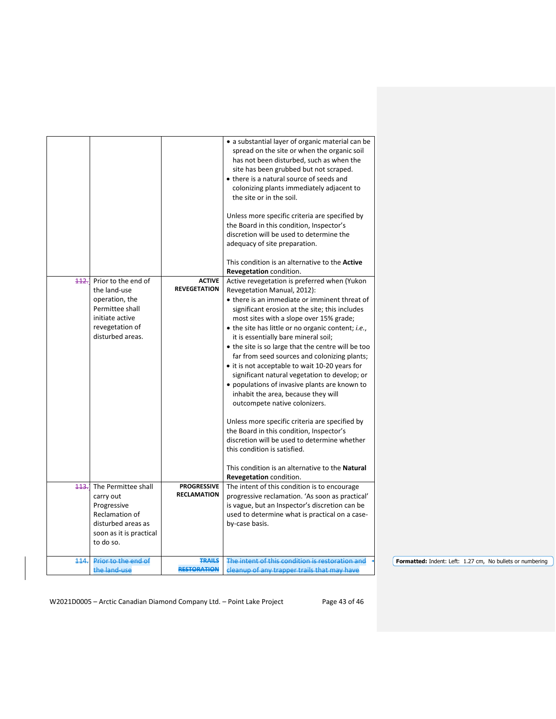|      |                                                                                                                                    |                                          | • a substantial layer of organic material can be<br>spread on the site or when the organic soil<br>has not been disturbed, such as when the<br>site has been grubbed but not scraped.<br>• there is a natural source of seeds and<br>colonizing plants immediately adjacent to<br>the site or in the soil.<br>Unless more specific criteria are specified by<br>the Board in this condition, Inspector's<br>discretion will be used to determine the<br>adequacy of site preparation.                                                                                                                                                                                                                                                                                                                                                                                                                                         |                                                           |
|------|------------------------------------------------------------------------------------------------------------------------------------|------------------------------------------|-------------------------------------------------------------------------------------------------------------------------------------------------------------------------------------------------------------------------------------------------------------------------------------------------------------------------------------------------------------------------------------------------------------------------------------------------------------------------------------------------------------------------------------------------------------------------------------------------------------------------------------------------------------------------------------------------------------------------------------------------------------------------------------------------------------------------------------------------------------------------------------------------------------------------------|-----------------------------------------------------------|
|      |                                                                                                                                    |                                          | This condition is an alternative to the <b>Active</b>                                                                                                                                                                                                                                                                                                                                                                                                                                                                                                                                                                                                                                                                                                                                                                                                                                                                         |                                                           |
|      |                                                                                                                                    |                                          | Revegetation condition.                                                                                                                                                                                                                                                                                                                                                                                                                                                                                                                                                                                                                                                                                                                                                                                                                                                                                                       |                                                           |
| 442. | Prior to the end of<br>the land-use<br>operation, the<br>Permittee shall<br>initiate active<br>revegetation of<br>disturbed areas. | <b>ACTIVE</b><br><b>REVEGETATION</b>     | Active revegetation is preferred when (Yukon<br>Revegetation Manual, 2012):<br>• there is an immediate or imminent threat of<br>significant erosion at the site; this includes<br>most sites with a slope over 15% grade;<br>• the site has little or no organic content; <i>i.e.</i> ,<br>it is essentially bare mineral soil;<br>• the site is so large that the centre will be too<br>far from seed sources and colonizing plants;<br>• it is not acceptable to wait 10-20 years for<br>significant natural vegetation to develop; or<br>• populations of invasive plants are known to<br>inhabit the area, because they will<br>outcompete native colonizers.<br>Unless more specific criteria are specified by<br>the Board in this condition, Inspector's<br>discretion will be used to determine whether<br>this condition is satisfied.<br>This condition is an alternative to the Natural<br>Revegetation condition. |                                                           |
| 443. | The Permittee shall<br>carry out<br>Progressive<br>Reclamation of<br>disturbed areas as<br>soon as it is practical<br>to do so.    | <b>PROGRESSIVE</b><br><b>RECLAMATION</b> | The intent of this condition is to encourage<br>progressive reclamation. 'As soon as practical'<br>is vague, but an Inspector's discretion can be<br>used to determine what is practical on a case-<br>by-case basis.                                                                                                                                                                                                                                                                                                                                                                                                                                                                                                                                                                                                                                                                                                         |                                                           |
| 114. | Prior to the end of                                                                                                                | <b>TRAILS</b>                            | The intent of this condition is restoration and                                                                                                                                                                                                                                                                                                                                                                                                                                                                                                                                                                                                                                                                                                                                                                                                                                                                               | Formatted: Indent: Left: 1.27 cm, No bullets or numbering |
|      | the land-use                                                                                                                       | <b>RESTORATION</b>                       | cleanup of any trapper trails that may have                                                                                                                                                                                                                                                                                                                                                                                                                                                                                                                                                                                                                                                                                                                                                                                                                                                                                   |                                                           |
|      |                                                                                                                                    |                                          |                                                                                                                                                                                                                                                                                                                                                                                                                                                                                                                                                                                                                                                                                                                                                                                                                                                                                                                               |                                                           |

W2021D0005 - Arctic Canadian Diamond Company Ltd. - Point Lake Project Page 43 of 46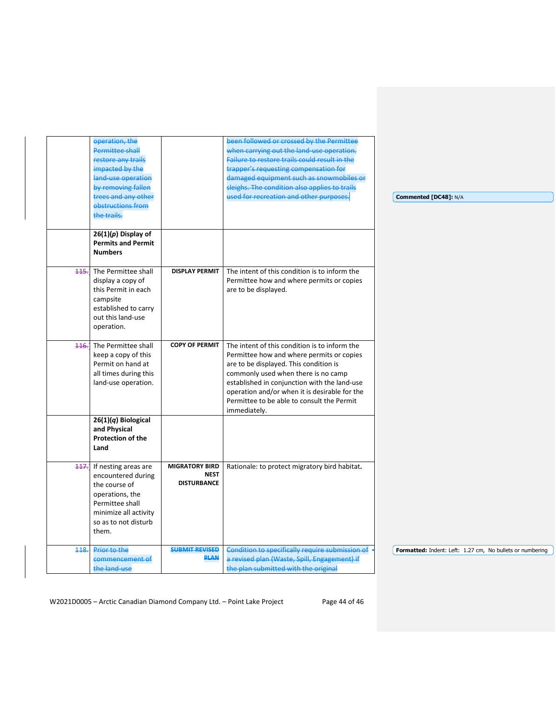|      | operation, the                  |                                      | been followed or crossed by the Permittee       |                                                           |
|------|---------------------------------|--------------------------------------|-------------------------------------------------|-----------------------------------------------------------|
|      | <b>Permittee shall</b>          |                                      | when carrying out the land-use operation.       |                                                           |
|      | restore any trails              |                                      | Failure to restore trails could result in the   |                                                           |
|      | impacted by the                 |                                      | trapper's requesting compensation for           |                                                           |
|      | land-use operation              |                                      | damaged equipment such as snowmobiles or        |                                                           |
|      | by removing fallen              |                                      | sleighs. The condition also applies to trails   |                                                           |
|      | trees and any other             |                                      | used for recreation and other purposes.         | Commented [DC48]: N/A                                     |
|      | obstructions from               |                                      |                                                 |                                                           |
|      | the trails.                     |                                      |                                                 |                                                           |
|      | $26(1)(p)$ Display of           |                                      |                                                 |                                                           |
|      | <b>Permits and Permit</b>       |                                      |                                                 |                                                           |
|      | <b>Numbers</b>                  |                                      |                                                 |                                                           |
|      |                                 |                                      |                                                 |                                                           |
|      | <b>445.</b> The Permittee shall | <b>DISPLAY PERMIT</b>                | The intent of this condition is to inform the   |                                                           |
|      | display a copy of               |                                      | Permittee how and where permits or copies       |                                                           |
|      | this Permit in each             |                                      | are to be displayed.                            |                                                           |
|      | campsite                        |                                      |                                                 |                                                           |
|      | established to carry            |                                      |                                                 |                                                           |
|      | out this land-use               |                                      |                                                 |                                                           |
|      | operation.                      |                                      |                                                 |                                                           |
|      |                                 |                                      |                                                 |                                                           |
| 116. | The Permittee shall             | <b>COPY OF PERMIT</b>                | The intent of this condition is to inform the   |                                                           |
|      | keep a copy of this             |                                      | Permittee how and where permits or copies       |                                                           |
|      | Permit on hand at               |                                      | are to be displayed. This condition is          |                                                           |
|      | all times during this           |                                      | commonly used when there is no camp             |                                                           |
|      | land-use operation.             |                                      | established in conjunction with the land-use    |                                                           |
|      |                                 |                                      | operation and/or when it is desirable for the   |                                                           |
|      |                                 |                                      | Permittee to be able to consult the Permit      |                                                           |
|      |                                 |                                      | immediately.                                    |                                                           |
|      | $26(1)(q)$ Biological           |                                      |                                                 |                                                           |
|      | and Physical                    |                                      |                                                 |                                                           |
|      | <b>Protection of the</b>        |                                      |                                                 |                                                           |
|      | Land                            |                                      |                                                 |                                                           |
|      |                                 |                                      |                                                 |                                                           |
| 117. | If nesting areas are            | <b>MIGRATORY BIRD</b><br><b>NEST</b> | Rationale: to protect migratory bird habitat.   |                                                           |
|      | encountered during              | <b>DISTURBANCE</b>                   |                                                 |                                                           |
|      | the course of                   |                                      |                                                 |                                                           |
|      | operations, the                 |                                      |                                                 |                                                           |
|      | Permittee shall                 |                                      |                                                 |                                                           |
|      | minimize all activity           |                                      |                                                 |                                                           |
|      | so as to not disturb            |                                      |                                                 |                                                           |
|      | them.                           |                                      |                                                 |                                                           |
| 448. | Prior to the                    | <b>SUBMIT REVISED</b>                | Condition to specifically require submission of | Formatted: Indent: Left: 1.27 cm, No bullets or numbering |
|      | commencement of                 | <b>PLAN</b>                          | a revised plan (Waste, Spill, Engagement) if    |                                                           |
|      | the land-use                    |                                      | the plan submitted with the original            |                                                           |
|      |                                 |                                      |                                                 |                                                           |

W2021D0005 - Arctic Canadian Diamond Company Ltd. - Point Lake Project Page 44 of 46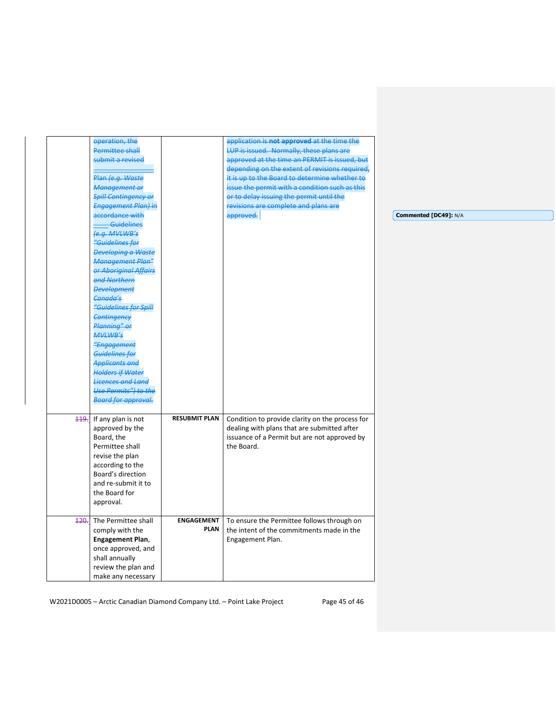| operation, the              |                      | application is not approved at the time the     |                       |
|-----------------------------|----------------------|-------------------------------------------------|-----------------------|
| <b>Permittee shall</b>      |                      | LUP is issued. Normally, these plans are        |                       |
| submit a revised            |                      | approved at the time an PERMIT is issued, but   |                       |
|                             |                      | depending on the extent of revisions required,  |                       |
| Plan (e.g. Waste            |                      | it is up to the Board to determine whether to   |                       |
| Management or               |                      | issue the permit with a condition such as this  |                       |
| <b>Spill Contingency or</b> |                      | or to delay issuing the permit until the        |                       |
| <b>Engagement Plan) in</b>  |                      | revisions are complete and plans are            |                       |
| accordance with             |                      | approved.                                       | Commented [DC49]: N/A |
| Guidelines                  |                      |                                                 |                       |
| e.g. MVLWB's                |                      |                                                 |                       |
| "Guidelines for             |                      |                                                 |                       |
| <b>Developing a Waste</b>   |                      |                                                 |                       |
| Management Plan"            |                      |                                                 |                       |
| or Aboriginal Affairs       |                      |                                                 |                       |
| and Northern                |                      |                                                 |                       |
| <b>Development</b>          |                      |                                                 |                       |
| Canada's                    |                      |                                                 |                       |
| "Guidelines for Spill       |                      |                                                 |                       |
| Contingency                 |                      |                                                 |                       |
| Planning" or                |                      |                                                 |                       |
| <b>MVLWB's</b>              |                      |                                                 |                       |
| "Engagement                 |                      |                                                 |                       |
| Guidelines for              |                      |                                                 |                       |
| <b>Applicants and</b>       |                      |                                                 |                       |
| <b>Holders if Water</b>     |                      |                                                 |                       |
| <b>Licences and Land</b>    |                      |                                                 |                       |
| <b>Use Permits") to the</b> |                      |                                                 |                       |
| <b>Board for approval.</b>  |                      |                                                 |                       |
|                             |                      |                                                 |                       |
| 119. If any plan is not     | <b>RESUBMIT PLAN</b> | Condition to provide clarity on the process for |                       |
| approved by the             |                      | dealing with plans that are submitted after     |                       |
| Board, the                  |                      | issuance of a Permit but are not approved by    |                       |
| Permittee shall             |                      | the Board.                                      |                       |
| revise the plan             |                      |                                                 |                       |
| according to the            |                      |                                                 |                       |
|                             |                      |                                                 |                       |
| Board's direction           |                      |                                                 |                       |
| and re-submit it to         |                      |                                                 |                       |
| the Board for               |                      |                                                 |                       |
| approval.                   |                      |                                                 |                       |
|                             |                      |                                                 |                       |
| 120. The Permittee shall    | <b>ENGAGEMENT</b>    | To ensure the Permittee follows through on      |                       |
| comply with the             | <b>PLAN</b>          | the intent of the commitments made in the       |                       |
| Engagement Plan,            |                      |                                                 |                       |
| once approved, and          |                      | Engagement Plan.                                |                       |
| shall annually              |                      |                                                 |                       |
| review the plan and         |                      |                                                 |                       |

W2021D0005 - Arctic Canadian Diamond Company Ltd. - Point Lake Project Page 45 of 46